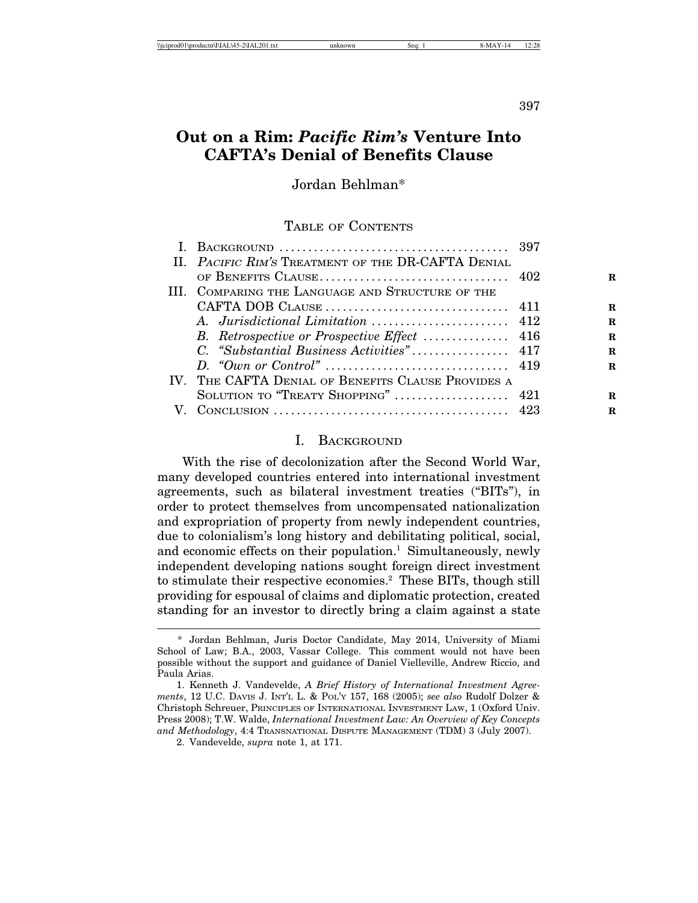397

# **Out on a Rim:** *Pacific Rim's* **Venture Into CAFTA's Denial of Benefits Clause**

Jordan Behlman\*

TABLE OF CONTENTS

| II. PACIFIC RIM'S TREATMENT OF THE DR-CAFTA DENIAL |   |
|----------------------------------------------------|---|
|                                                    | R |
| III. COMPARING THE LANGUAGE AND STRUCTURE OF THE   |   |
|                                                    | R |
|                                                    | R |
|                                                    | R |
|                                                    | R |
|                                                    | R |
| IV. THE CAFTA DENIAL OF BENEFITS CLAUSE PROVIDES A |   |
| SOLUTION TO "TREATY SHOPPING"  421                 | R |
|                                                    | R |

# I. BACKGROUND

With the rise of decolonization after the Second World War, many developed countries entered into international investment agreements, such as bilateral investment treaties ("BITs"), in order to protect themselves from uncompensated nationalization and expropriation of property from newly independent countries, due to colonialism's long history and debilitating political, social, and economic effects on their population.<sup>1</sup> Simultaneously, newly independent developing nations sought foreign direct investment to stimulate their respective economies.2 These BITs, though still providing for espousal of claims and diplomatic protection, created standing for an investor to directly bring a claim against a state

<sup>\*</sup> Jordan Behlman, Juris Doctor Candidate, May 2014, University of Miami School of Law; B.A., 2003, Vassar College. This comment would not have been possible without the support and guidance of Daniel Vielleville, Andrew Riccio, and Paula Arias.

<sup>1.</sup> Kenneth J. Vandevelde, *A Brief History of International Investment Agreements*, 12 U.C. DAVIS J. INT'L L. & POL'Y 157, 168 (2005); *see also* Rudolf Dolzer & Christoph Schreuer, PRINCIPLES OF INTERNATIONAL INVESTMENT LAW, 1 (Oxford Univ. Press 2008); T.W. Walde, *International Investment Law: An Overview of Key Concepts and Methodology*, 4:4 TRANSNATIONAL DISPUTE MANAGEMENT (TDM) 3 (July 2007).

<sup>2.</sup> Vandevelde, *supra* note 1, at 171.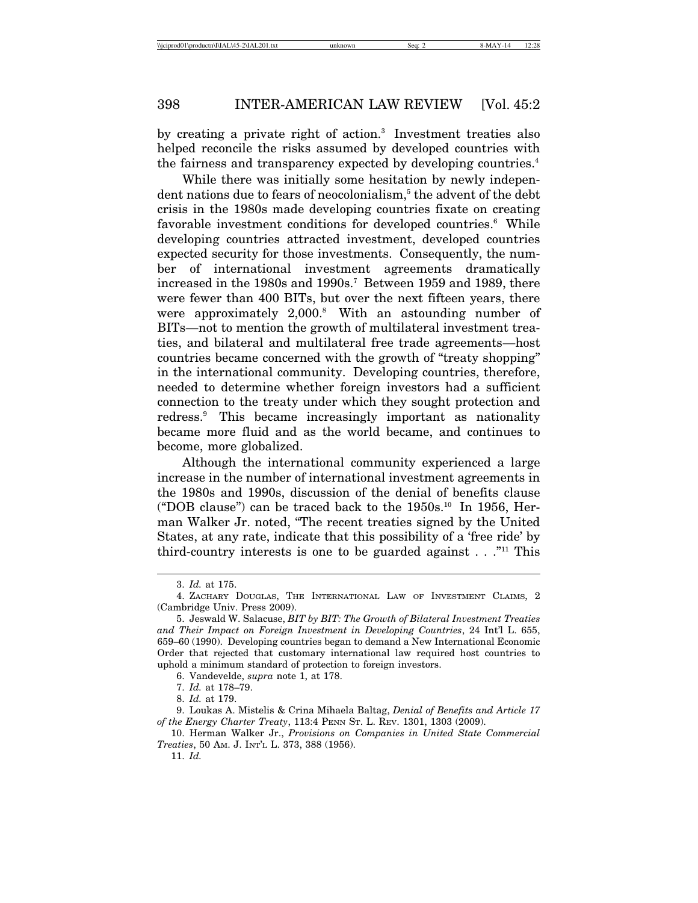by creating a private right of action.3 Investment treaties also helped reconcile the risks assumed by developed countries with the fairness and transparency expected by developing countries.<sup>4</sup>

While there was initially some hesitation by newly indepen- $\det$  nations due to fears of neocolonialism, $^5$  the advent of the  $\det$ crisis in the 1980s made developing countries fixate on creating favorable investment conditions for developed countries.<sup>6</sup> While developing countries attracted investment, developed countries expected security for those investments. Consequently, the number of international investment agreements dramatically increased in the 1980s and 1990s.<sup>7</sup> Between 1959 and 1989, there were fewer than 400 BITs, but over the next fifteen years, there were approximately 2,000.<sup>8</sup> With an astounding number of BITs—not to mention the growth of multilateral investment treaties, and bilateral and multilateral free trade agreements—host countries became concerned with the growth of "treaty shopping" in the international community. Developing countries, therefore, needed to determine whether foreign investors had a sufficient connection to the treaty under which they sought protection and redress.9 This became increasingly important as nationality became more fluid and as the world became, and continues to become, more globalized.

Although the international community experienced a large increase in the number of international investment agreements in the 1980s and 1990s, discussion of the denial of benefits clause ("DOB clause") can be traced back to the 1950s.10 In 1956, Herman Walker Jr. noted, "The recent treaties signed by the United States, at any rate, indicate that this possibility of a 'free ride' by third-country interests is one to be guarded against  $\dots$ ."<sup>11</sup> This

11. *Id.*

<sup>3.</sup> *Id.* at 175.

<sup>4.</sup> ZACHARY DOUGLAS, THE INTERNATIONAL LAW OF INVESTMENT CLAIMS, 2 (Cambridge Univ. Press 2009).

<sup>5.</sup> Jeswald W. Salacuse, *BIT by BIT: The Growth of Bilateral Investment Treaties and Their Impact on Foreign Investment in Developing Countries*, 24 Int'l L. 655, 659–60 (1990). Developing countries began to demand a New International Economic Order that rejected that customary international law required host countries to uphold a minimum standard of protection to foreign investors.

<sup>6.</sup> Vandevelde, *supra* note 1, at 178.

<sup>7.</sup> *Id.* at 178–79.

<sup>8.</sup> *Id.* at 179.

<sup>9.</sup> Loukas A. Mistelis & Crina Mihaela Baltag, *Denial of Benefits and Article 17 of the Energy Charter Treaty*, 113:4 PENN ST. L. REV. 1301, 1303 (2009).

<sup>10.</sup> Herman Walker Jr., *Provisions on Companies in United State Commercial Treaties*, 50 AM. J. INT'L L. 373, 388 (1956).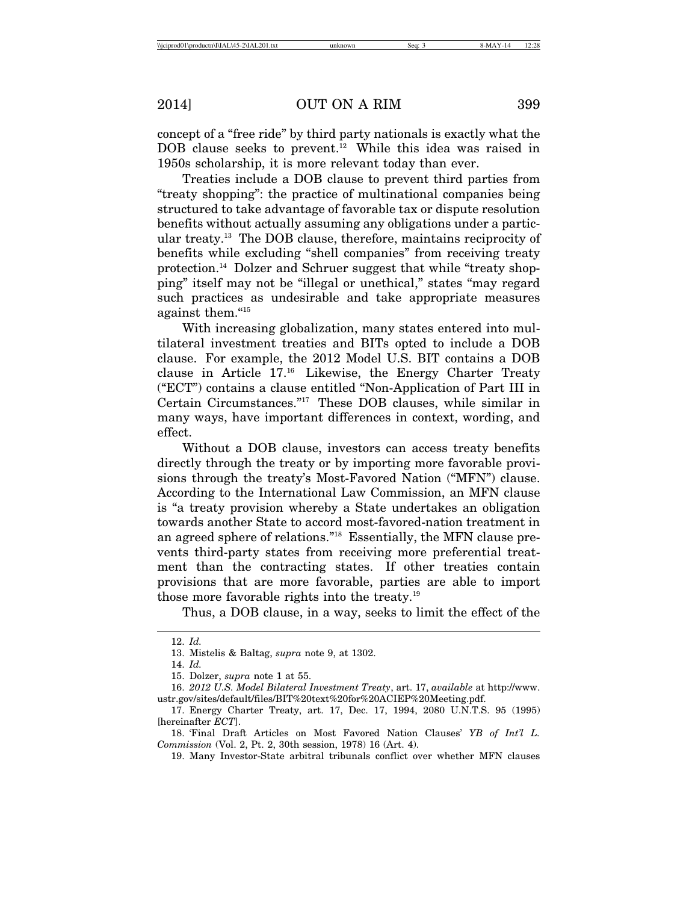concept of a "free ride" by third party nationals is exactly what the DOB clause seeks to prevent.<sup>12</sup> While this idea was raised in 1950s scholarship, it is more relevant today than ever.

Treaties include a DOB clause to prevent third parties from "treaty shopping": the practice of multinational companies being structured to take advantage of favorable tax or dispute resolution benefits without actually assuming any obligations under a particular treaty.13 The DOB clause, therefore, maintains reciprocity of benefits while excluding "shell companies" from receiving treaty protection.14 Dolzer and Schruer suggest that while "treaty shopping" itself may not be "illegal or unethical," states "may regard such practices as undesirable and take appropriate measures against them."15

With increasing globalization, many states entered into multilateral investment treaties and BITs opted to include a DOB clause. For example, the 2012 Model U.S. BIT contains a DOB clause in Article 17.16 Likewise, the Energy Charter Treaty ("ECT") contains a clause entitled "Non-Application of Part III in Certain Circumstances."17 These DOB clauses, while similar in many ways, have important differences in context, wording, and effect.

Without a DOB clause, investors can access treaty benefits directly through the treaty or by importing more favorable provisions through the treaty's Most-Favored Nation ("MFN") clause. According to the International Law Commission, an MFN clause is "a treaty provision whereby a State undertakes an obligation towards another State to accord most-favored-nation treatment in an agreed sphere of relations."18 Essentially, the MFN clause prevents third-party states from receiving more preferential treatment than the contracting states. If other treaties contain provisions that are more favorable, parties are able to import those more favorable rights into the treaty.19

Thus, a DOB clause, in a way, seeks to limit the effect of the

19. Many Investor-State arbitral tribunals conflict over whether MFN clauses

<sup>12.</sup> *Id.*

<sup>13.</sup> Mistelis & Baltag, *supra* note 9, at 1302.

<sup>14.</sup> *Id.*

<sup>15.</sup> Dolzer, *supra* note 1 at 55.

<sup>16.</sup> *2012 U.S. Model Bilateral Investment Treaty*, art. 17, *available* at http://www. ustr.gov/sites/default/files/BIT%20text%20for%20ACIEP%20Meeting.pdf.

<sup>17.</sup> Energy Charter Treaty, art. 17, Dec. 17, 1994, 2080 U.N.T.S. 95 (1995) [hereinafter *ECT*].

<sup>18. &#</sup>x27;Final Draft Articles on Most Favored Nation Clauses' *YB of Int'l L. Commission* (Vol. 2, Pt. 2, 30th session, 1978) 16 (Art. 4).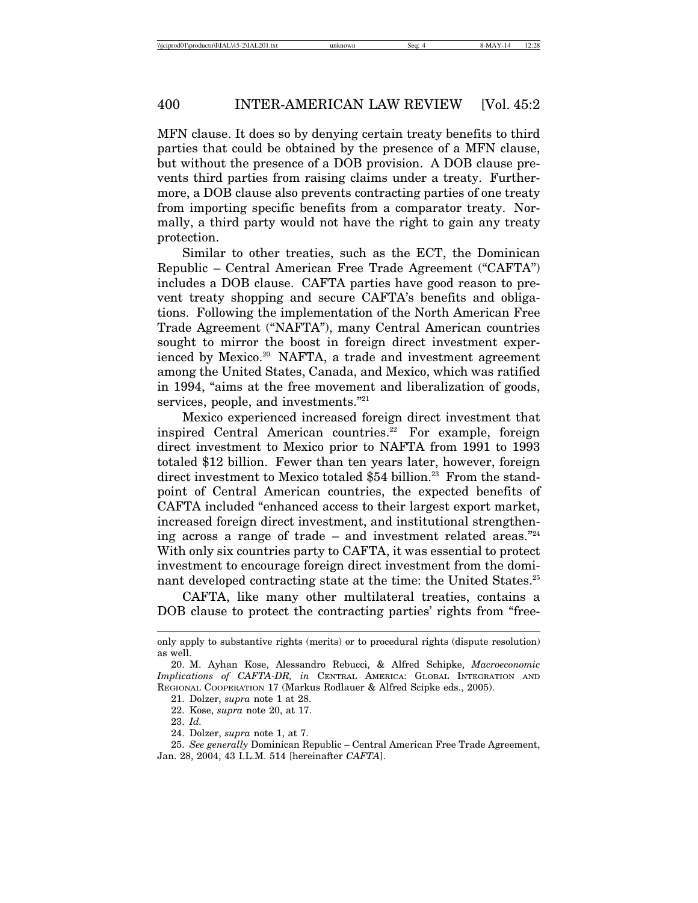MFN clause. It does so by denying certain treaty benefits to third parties that could be obtained by the presence of a MFN clause, but without the presence of a DOB provision. A DOB clause prevents third parties from raising claims under a treaty. Furthermore, a DOB clause also prevents contracting parties of one treaty from importing specific benefits from a comparator treaty. Normally, a third party would not have the right to gain any treaty protection.

Similar to other treaties, such as the ECT, the Dominican Republic – Central American Free Trade Agreement ("CAFTA") includes a DOB clause. CAFTA parties have good reason to prevent treaty shopping and secure CAFTA's benefits and obligations. Following the implementation of the North American Free Trade Agreement ("NAFTA"), many Central American countries sought to mirror the boost in foreign direct investment experienced by Mexico.<sup>20</sup> NAFTA, a trade and investment agreement among the United States, Canada, and Mexico, which was ratified in 1994, "aims at the free movement and liberalization of goods, services, people, and investments."<sup>21</sup>

Mexico experienced increased foreign direct investment that inspired Central American countries.<sup>22</sup> For example, foreign direct investment to Mexico prior to NAFTA from 1991 to 1993 totaled \$12 billion. Fewer than ten years later, however, foreign direct investment to Mexico totaled \$54 billion.<sup>23</sup> From the standpoint of Central American countries, the expected benefits of CAFTA included "enhanced access to their largest export market, increased foreign direct investment, and institutional strengthening across a range of trade – and investment related areas."<sup>24</sup> With only six countries party to CAFTA, it was essential to protect investment to encourage foreign direct investment from the dominant developed contracting state at the time: the United States.<sup>25</sup>

CAFTA, like many other multilateral treaties, contains a DOB clause to protect the contracting parties' rights from "free-

only apply to substantive rights (merits) or to procedural rights (dispute resolution) as well.

<sup>20.</sup> M. Ayhan Kose, Alessandro Rebucci, & Alfred Schipke, *Macroeconomic Implications of CAFTA-DR, in* CENTRAL AMERICA: GLOBAL INTEGRATION AND REGIONAL COOPERATION 17 (Markus Rodlauer & Alfred Scipke eds., 2005).

<sup>21.</sup> Dolzer, *supra* note 1 at 28. 22. Kose, *supra* note 20, at 17.

<sup>23.</sup> *Id.*

<sup>24.</sup> Dolzer, *supra* note 1, at 7.

<sup>25.</sup> *See generally* Dominican Republic – Central American Free Trade Agreement, Jan. 28, 2004, 43 I.L.M. 514 [hereinafter *CAFTA*].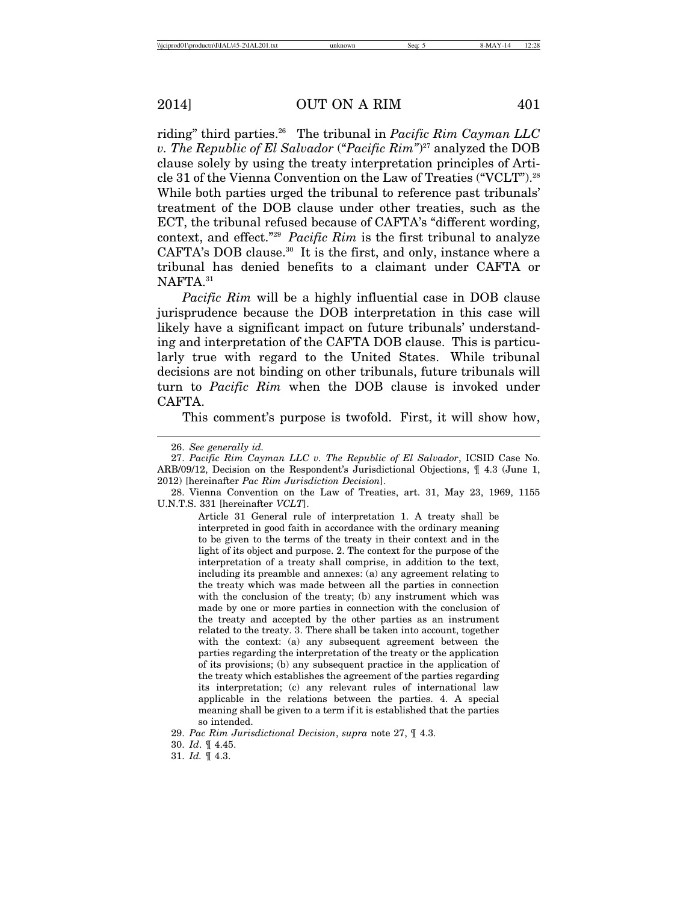riding" third parties.26 The tribunal in *Pacific Rim Cayman LLC v. The Republic of El Salvador* ("*Pacific Rim"*) 27 analyzed the DOB clause solely by using the treaty interpretation principles of Article 31 of the Vienna Convention on the Law of Treaties ("VCLT").28 While both parties urged the tribunal to reference past tribunals' treatment of the DOB clause under other treaties, such as the ECT, the tribunal refused because of CAFTA's "different wording, context, and effect."29 *Pacific Rim* is the first tribunal to analyze CAFTA's DOB clause.<sup>30</sup> It is the first, and only, instance where a tribunal has denied benefits to a claimant under CAFTA or NAFTA.<sup>31</sup>

*Pacific Rim* will be a highly influential case in DOB clause jurisprudence because the DOB interpretation in this case will likely have a significant impact on future tribunals' understanding and interpretation of the CAFTA DOB clause. This is particularly true with regard to the United States. While tribunal decisions are not binding on other tribunals, future tribunals will turn to *Pacific Rim* when the DOB clause is invoked under CAFTA.

This comment's purpose is twofold. First, it will show how,

Article 31 General rule of interpretation 1. A treaty shall be interpreted in good faith in accordance with the ordinary meaning to be given to the terms of the treaty in their context and in the light of its object and purpose. 2. The context for the purpose of the interpretation of a treaty shall comprise, in addition to the text, including its preamble and annexes: (a) any agreement relating to the treaty which was made between all the parties in connection with the conclusion of the treaty; (b) any instrument which was made by one or more parties in connection with the conclusion of the treaty and accepted by the other parties as an instrument related to the treaty. 3. There shall be taken into account, together with the context: (a) any subsequent agreement between the parties regarding the interpretation of the treaty or the application of its provisions; (b) any subsequent practice in the application of the treaty which establishes the agreement of the parties regarding its interpretation; (c) any relevant rules of international law applicable in the relations between the parties. 4. A special meaning shall be given to a term if it is established that the parties so intended.

<sup>26.</sup> *See generally id.*

<sup>27.</sup> *Pacific Rim Cayman LLC v. The Republic of El Salvador*, ICSID Case No. ARB/09/12, Decision on the Respondent's Jurisdictional Objections, ¶ 4.3 (June 1, 2012) [hereinafter *Pac Rim Jurisdiction Decision*].

<sup>28.</sup> Vienna Convention on the Law of Treaties, art. 31, May 23, 1969, 1155 U.N.T.S. 331 [hereinafter *VCLT*].

<sup>29.</sup> *Pac Rim Jurisdictional Decision*, *supra* note 27, ¶ 4.3.

<sup>30.</sup> *Id*. ¶ 4.45.

<sup>31.</sup> *Id.* ¶ 4.3.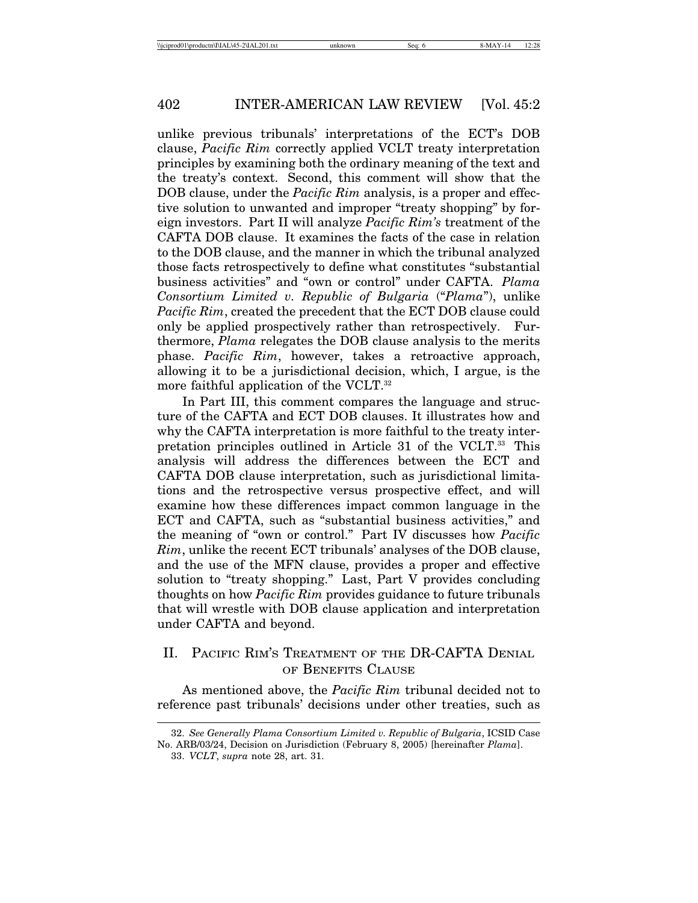unlike previous tribunals' interpretations of the ECT's DOB clause, *Pacific Rim* correctly applied VCLT treaty interpretation principles by examining both the ordinary meaning of the text and the treaty's context. Second, this comment will show that the DOB clause, under the *Pacific Rim* analysis, is a proper and effective solution to unwanted and improper "treaty shopping" by foreign investors. Part II will analyze *Pacific Rim's* treatment of the CAFTA DOB clause. It examines the facts of the case in relation to the DOB clause, and the manner in which the tribunal analyzed those facts retrospectively to define what constitutes "substantial business activities" and "own or control" under CAFTA. *Plama Consortium Limited v. Republic of Bulgaria* ("*Plama*"), unlike *Pacific Rim*, created the precedent that the ECT DOB clause could only be applied prospectively rather than retrospectively. Furthermore, *Plama* relegates the DOB clause analysis to the merits phase. *Pacific Rim*, however, takes a retroactive approach, allowing it to be a jurisdictional decision, which, I argue, is the more faithful application of the VCLT.<sup>32</sup>

In Part III, this comment compares the language and structure of the CAFTA and ECT DOB clauses. It illustrates how and why the CAFTA interpretation is more faithful to the treaty interpretation principles outlined in Article 31 of the VCLT.33 This analysis will address the differences between the ECT and CAFTA DOB clause interpretation, such as jurisdictional limitations and the retrospective versus prospective effect, and will examine how these differences impact common language in the ECT and CAFTA, such as "substantial business activities," and the meaning of "own or control." Part IV discusses how *Pacific Rim*, unlike the recent ECT tribunals' analyses of the DOB clause, and the use of the MFN clause, provides a proper and effective solution to "treaty shopping." Last, Part V provides concluding thoughts on how *Pacific Rim* provides guidance to future tribunals that will wrestle with DOB clause application and interpretation under CAFTA and beyond.

# II. PACIFIC RIM'S TREATMENT OF THE DR-CAFTA DENIAL OF BENEFITS CLAUSE

As mentioned above, the *Pacific Rim* tribunal decided not to reference past tribunals' decisions under other treaties, such as

<sup>32.</sup> *See Generally Plama Consortium Limited v. Republic of Bulgaria*, ICSID Case No. ARB/03/24, Decision on Jurisdiction (February 8, 2005) [hereinafter *Plama*].

<sup>33.</sup> *VCLT*, *supra* note 28, art. 31.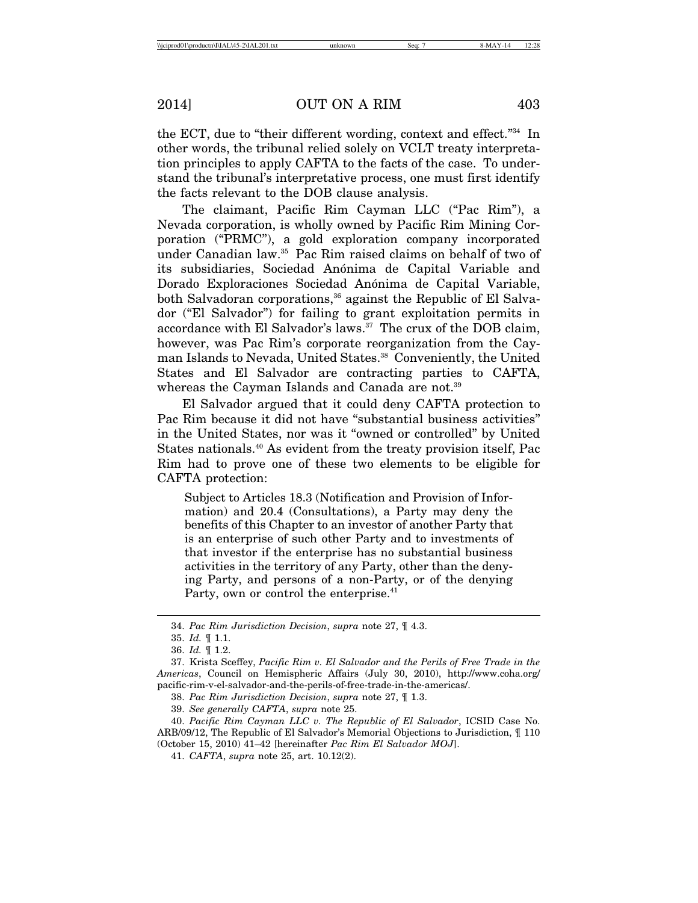the ECT, due to "their different wording, context and effect."34 In other words, the tribunal relied solely on VCLT treaty interpretation principles to apply CAFTA to the facts of the case. To understand the tribunal's interpretative process, one must first identify the facts relevant to the DOB clause analysis.

The claimant, Pacific Rim Cayman LLC ("Pac Rim"), a Nevada corporation, is wholly owned by Pacific Rim Mining Corporation ("PRMC"), a gold exploration company incorporated under Canadian law.35 Pac Rim raised claims on behalf of two of its subsidiaries, Sociedad Anónima de Capital Variable and Dorado Exploraciones Sociedad Anónima de Capital Variable, both Salvadoran corporations,<sup>36</sup> against the Republic of El Salvador ("El Salvador") for failing to grant exploitation permits in accordance with El Salvador's laws.37 The crux of the DOB claim, however, was Pac Rim's corporate reorganization from the Cayman Islands to Nevada, United States.<sup>38</sup> Conveniently, the United States and El Salvador are contracting parties to CAFTA, whereas the Cayman Islands and Canada are not.<sup>39</sup>

El Salvador argued that it could deny CAFTA protection to Pac Rim because it did not have "substantial business activities" in the United States, nor was it "owned or controlled" by United States nationals.<sup>40</sup> As evident from the treaty provision itself, Pac Rim had to prove one of these two elements to be eligible for CAFTA protection:

Subject to Articles 18.3 (Notification and Provision of Information) and 20.4 (Consultations), a Party may deny the benefits of this Chapter to an investor of another Party that is an enterprise of such other Party and to investments of that investor if the enterprise has no substantial business activities in the territory of any Party, other than the denying Party, and persons of a non-Party, or of the denying Party, own or control the enterprise.<sup>41</sup>

<sup>34.</sup> *Pac Rim Jurisdiction Decision*, *supra* note 27, ¶ 4.3.

<sup>35.</sup> *Id.* ¶ 1.1.

<sup>36.</sup> *Id.* ¶ 1.2.

<sup>37.</sup> Krista Sceffey, *Pacific Rim v. El Salvador and the Perils of Free Trade in the Americas*, Council on Hemispheric Affairs (July 30, 2010), http://www.coha.org/ pacific-rim-v-el-salvador-and-the-perils-of-free-trade-in-the-americas/.

<sup>38.</sup> *Pac Rim Jurisdiction Decision*, *supra* note 27, ¶ 1.3.

<sup>39.</sup> *See generally CAFTA*, *supra* note 25.

<sup>40.</sup> *Pacific Rim Cayman LLC v. The Republic of El Salvador*, ICSID Case No. ARB/09/12, The Republic of El Salvador's Memorial Objections to Jurisdiction, ¶ 110 (October 15, 2010) 41–42 [hereinafter *Pac Rim El Salvador MOJ*].

<sup>41.</sup> *CAFTA*, *supra* note 25, art. 10.12(2).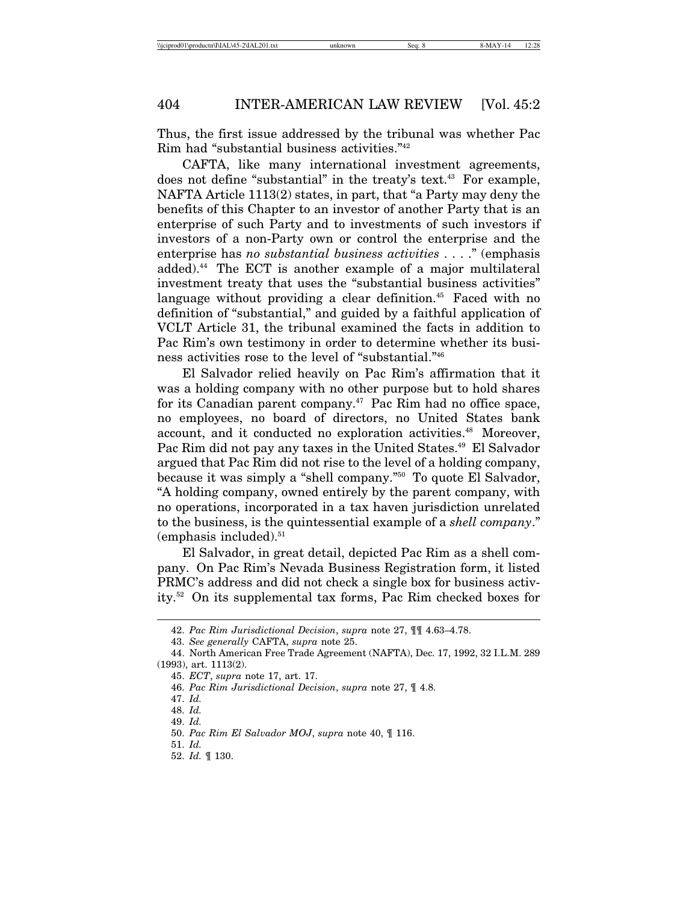Thus, the first issue addressed by the tribunal was whether Pac Rim had "substantial business activities."42

CAFTA, like many international investment agreements, does not define "substantial" in the treaty's text.<sup>43</sup> For example, NAFTA Article 1113(2) states, in part, that "a Party may deny the benefits of this Chapter to an investor of another Party that is an enterprise of such Party and to investments of such investors if investors of a non-Party own or control the enterprise and the enterprise has *no substantial business activities* . . . ." (emphasis added).44 The ECT is another example of a major multilateral investment treaty that uses the "substantial business activities" language without providing a clear definition.<sup>45</sup> Faced with no definition of "substantial," and guided by a faithful application of VCLT Article 31, the tribunal examined the facts in addition to Pac Rim's own testimony in order to determine whether its business activities rose to the level of "substantial."46

El Salvador relied heavily on Pac Rim's affirmation that it was a holding company with no other purpose but to hold shares for its Canadian parent company. $47$  Pac Rim had no office space, no employees, no board of directors, no United States bank account, and it conducted no exploration activities.<sup>48</sup> Moreover, Pac Rim did not pay any taxes in the United States.<sup>49</sup> El Salvador argued that Pac Rim did not rise to the level of a holding company, because it was simply a "shell company."50 To quote El Salvador, "A holding company, owned entirely by the parent company, with no operations, incorporated in a tax haven jurisdiction unrelated to the business, is the quintessential example of a *shell company*."  $(emphasis included).<sup>51</sup>$ 

El Salvador, in great detail, depicted Pac Rim as a shell company. On Pac Rim's Nevada Business Registration form, it listed PRMC's address and did not check a single box for business activity.52 On its supplemental tax forms, Pac Rim checked boxes for

<sup>42.</sup> *Pac Rim Jurisdictional Decision*, *supra* note 27, ¶¶ 4.63–4.78.

<sup>43.</sup> *See generally* CAFTA, *supra* note 25.

<sup>44.</sup> North American Free Trade Agreement (NAFTA), Dec. 17, 1992, 32 I.L.M. 289 (1993), art. 1113(2).

<sup>45.</sup> *ECT*, *supra* note 17, art. 17.

<sup>46.</sup> *Pac Rim Jurisdictional Decision*, *supra* note 27, ¶ 4.8.

<sup>47.</sup> *Id.*

<sup>48.</sup> *Id.*

<sup>49.</sup> *Id.*

<sup>50.</sup> *Pac Rim El Salvador MOJ*, *supra* note 40, ¶ 116.

<sup>51.</sup> *Id.*

<sup>52.</sup> *Id.* ¶ 130.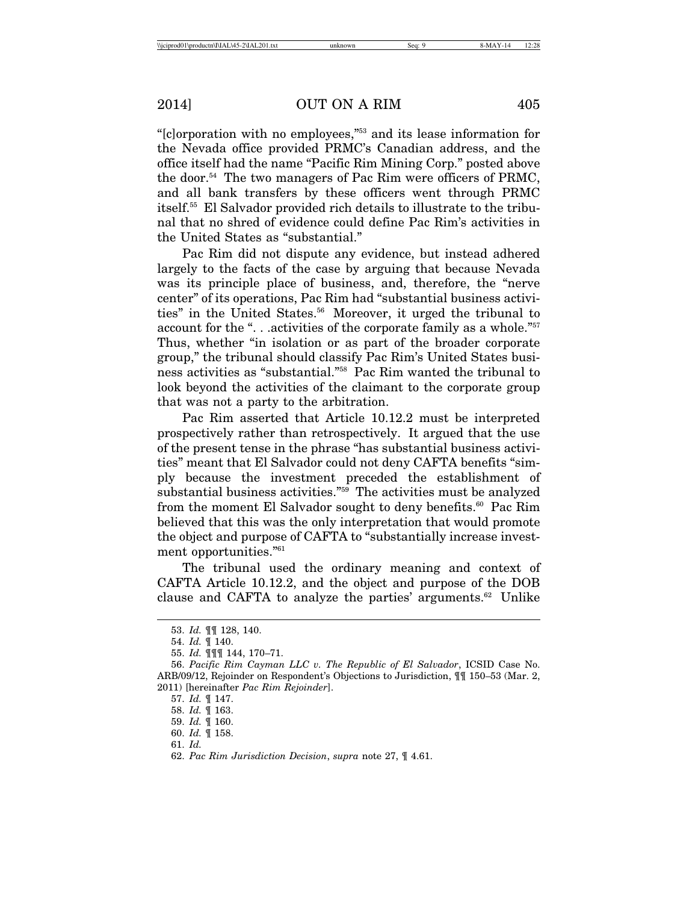"[c]orporation with no employees,"53 and its lease information for the Nevada office provided PRMC's Canadian address, and the office itself had the name "Pacific Rim Mining Corp." posted above the door.<sup>54</sup> The two managers of Pac Rim were officers of PRMC, and all bank transfers by these officers went through PRMC itself.55 El Salvador provided rich details to illustrate to the tribunal that no shred of evidence could define Pac Rim's activities in the United States as "substantial."

Pac Rim did not dispute any evidence, but instead adhered largely to the facts of the case by arguing that because Nevada was its principle place of business, and, therefore, the "nerve center" of its operations, Pac Rim had "substantial business activities" in the United States.<sup>56</sup> Moreover, it urged the tribunal to account for the ". . .activities of the corporate family as a whole."57 Thus, whether "in isolation or as part of the broader corporate group," the tribunal should classify Pac Rim's United States business activities as "substantial."58 Pac Rim wanted the tribunal to look beyond the activities of the claimant to the corporate group that was not a party to the arbitration.

Pac Rim asserted that Article 10.12.2 must be interpreted prospectively rather than retrospectively. It argued that the use of the present tense in the phrase "has substantial business activities" meant that El Salvador could not deny CAFTA benefits "simply because the investment preceded the establishment of substantial business activities."59 The activities must be analyzed from the moment El Salvador sought to deny benefits.<sup>60</sup> Pac Rim believed that this was the only interpretation that would promote the object and purpose of CAFTA to "substantially increase investment opportunities."61

The tribunal used the ordinary meaning and context of CAFTA Article 10.12.2, and the object and purpose of the DOB clause and CAFTA to analyze the parties' arguments.<sup>62</sup> Unlike

<sup>53.</sup> *Id.* ¶¶ 128, 140.

<sup>54.</sup> *Id.* ¶ 140.

<sup>55.</sup> *Id.* ¶¶¶ 144, 170–71.

<sup>56.</sup> *Pacific Rim Cayman LLC v. The Republic of El Salvador*, ICSID Case No. ARB/09/12, Rejoinder on Respondent's Objections to Jurisdiction, ¶¶ 150–53 (Mar. 2, 2011) [hereinafter *Pac Rim Rejoinder*].

<sup>57.</sup> *Id.* ¶ 147.

<sup>58.</sup> *Id.* ¶ 163.

<sup>59.</sup> *Id.* ¶ 160.

<sup>60.</sup> *Id.* ¶ 158.

<sup>61.</sup> *Id.*

<sup>62.</sup> *Pac Rim Jurisdiction Decision*, *supra* note 27, ¶ 4.61.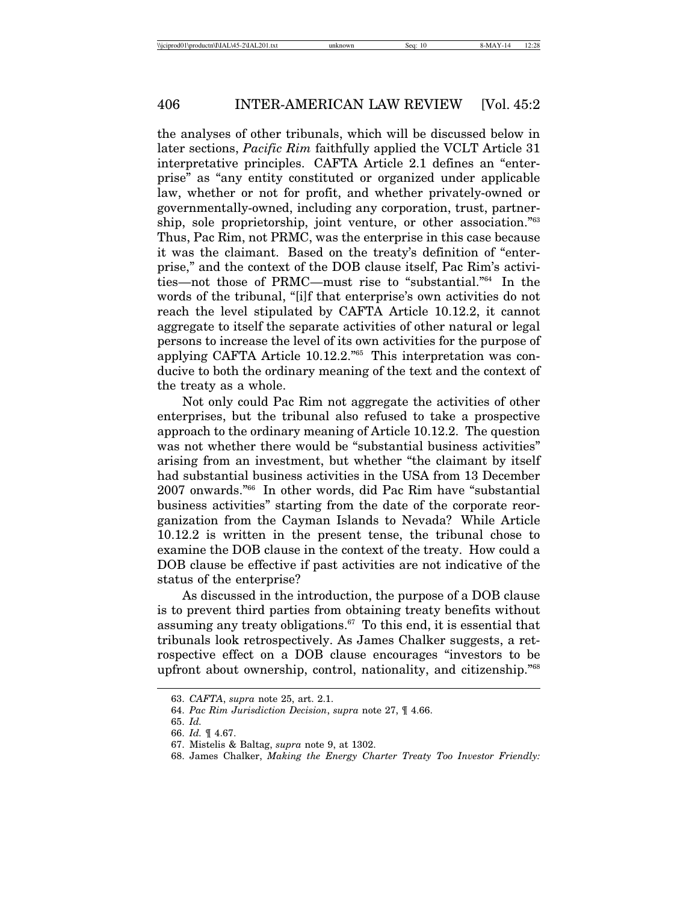the analyses of other tribunals, which will be discussed below in later sections, *Pacific Rim* faithfully applied the VCLT Article 31 interpretative principles. CAFTA Article 2.1 defines an "enterprise" as "any entity constituted or organized under applicable law, whether or not for profit, and whether privately-owned or governmentally-owned, including any corporation, trust, partnership, sole proprietorship, joint venture, or other association."63 Thus, Pac Rim, not PRMC, was the enterprise in this case because it was the claimant. Based on the treaty's definition of "enterprise," and the context of the DOB clause itself, Pac Rim's activities—not those of PRMC—must rise to "substantial."64 In the words of the tribunal, "[i]f that enterprise's own activities do not reach the level stipulated by CAFTA Article 10.12.2, it cannot aggregate to itself the separate activities of other natural or legal persons to increase the level of its own activities for the purpose of applying CAFTA Article 10.12.2."65 This interpretation was conducive to both the ordinary meaning of the text and the context of the treaty as a whole.

Not only could Pac Rim not aggregate the activities of other enterprises, but the tribunal also refused to take a prospective approach to the ordinary meaning of Article 10.12.2. The question was not whether there would be "substantial business activities" arising from an investment, but whether "the claimant by itself had substantial business activities in the USA from 13 December 2007 onwards."66 In other words, did Pac Rim have "substantial business activities" starting from the date of the corporate reorganization from the Cayman Islands to Nevada? While Article 10.12.2 is written in the present tense, the tribunal chose to examine the DOB clause in the context of the treaty. How could a DOB clause be effective if past activities are not indicative of the status of the enterprise?

As discussed in the introduction, the purpose of a DOB clause is to prevent third parties from obtaining treaty benefits without assuming any treaty obligations. $67$  To this end, it is essential that tribunals look retrospectively. As James Chalker suggests, a retrospective effect on a DOB clause encourages "investors to be upfront about ownership, control, nationality, and citizenship."68

<sup>63.</sup> *CAFTA*, *supra* note 25, art. 2.1.

<sup>64.</sup> *Pac Rim Jurisdiction Decision*, *supra* note 27, ¶ 4.66.

<sup>65.</sup> *Id.*

<sup>66.</sup> *Id.* ¶ 4.67.

<sup>67.</sup> Mistelis & Baltag, *supra* note 9, at 1302.

<sup>68.</sup> James Chalker, *Making the Energy Charter Treaty Too Investor Friendly:*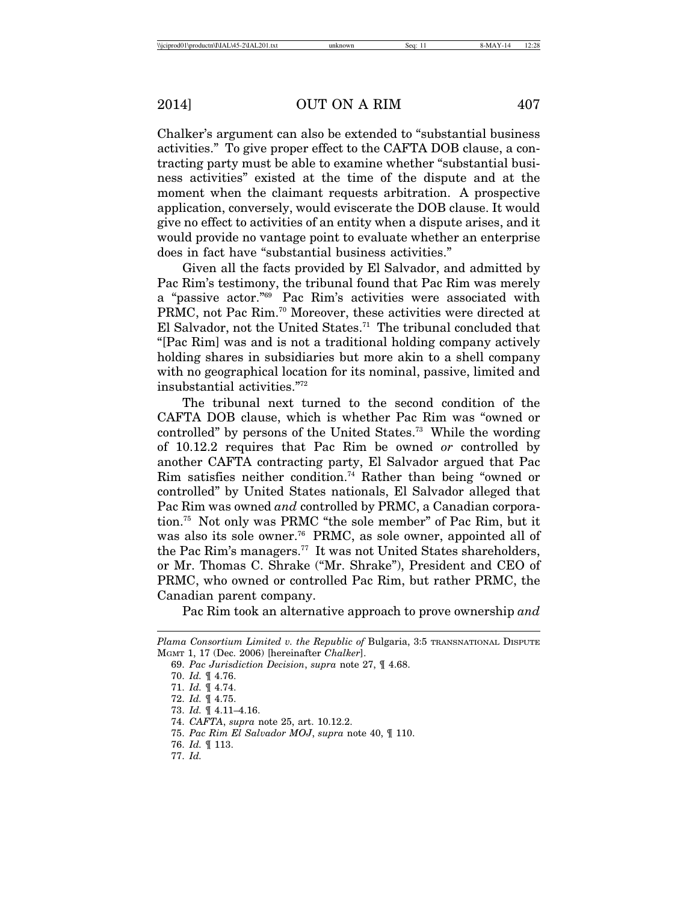Chalker's argument can also be extended to "substantial business activities." To give proper effect to the CAFTA DOB clause, a contracting party must be able to examine whether "substantial business activities" existed at the time of the dispute and at the moment when the claimant requests arbitration. A prospective application, conversely, would eviscerate the DOB clause. It would give no effect to activities of an entity when a dispute arises, and it would provide no vantage point to evaluate whether an enterprise does in fact have "substantial business activities."

Given all the facts provided by El Salvador, and admitted by Pac Rim's testimony, the tribunal found that Pac Rim was merely a "passive actor."69 Pac Rim's activities were associated with PRMC, not Pac Rim.70 Moreover, these activities were directed at El Salvador, not the United States.<sup>71</sup> The tribunal concluded that "[Pac Rim] was and is not a traditional holding company actively holding shares in subsidiaries but more akin to a shell company with no geographical location for its nominal, passive, limited and insubstantial activities."72

The tribunal next turned to the second condition of the CAFTA DOB clause, which is whether Pac Rim was "owned or controlled" by persons of the United States.73 While the wording of 10.12.2 requires that Pac Rim be owned *or* controlled by another CAFTA contracting party, El Salvador argued that Pac Rim satisfies neither condition.74 Rather than being "owned or controlled" by United States nationals, El Salvador alleged that Pac Rim was owned *and* controlled by PRMC, a Canadian corporation.75 Not only was PRMC "the sole member" of Pac Rim, but it was also its sole owner.<sup>76</sup> PRMC, as sole owner, appointed all of the Pac Rim's managers.77 It was not United States shareholders, or Mr. Thomas C. Shrake ("Mr. Shrake"), President and CEO of PRMC, who owned or controlled Pac Rim, but rather PRMC, the Canadian parent company.

Pac Rim took an alternative approach to prove ownership *and*

*Plama Consortium Limited v. the Republic of* Bulgaria, 3:5 TRANSNATIONAL DISPUTE MGMT 1, 17 (Dec. 2006) [hereinafter *Chalker*].

<sup>69.</sup> *Pac Jurisdiction Decision*, *supra* note 27, ¶ 4.68.

<sup>70.</sup> *Id.* ¶ 4.76.

<sup>71.</sup> *Id.* ¶ 4.74.

<sup>72.</sup> *Id.* ¶ 4.75.

<sup>73.</sup> *Id.* ¶ 4.11–4.16.

<sup>74.</sup> *CAFTA*, *supra* note 25, art. 10.12.2.

<sup>75.</sup> *Pac Rim El Salvador MOJ*, *supra* note 40, ¶ 110.

<sup>76.</sup> *Id.* ¶ 113.

<sup>77.</sup> *Id.*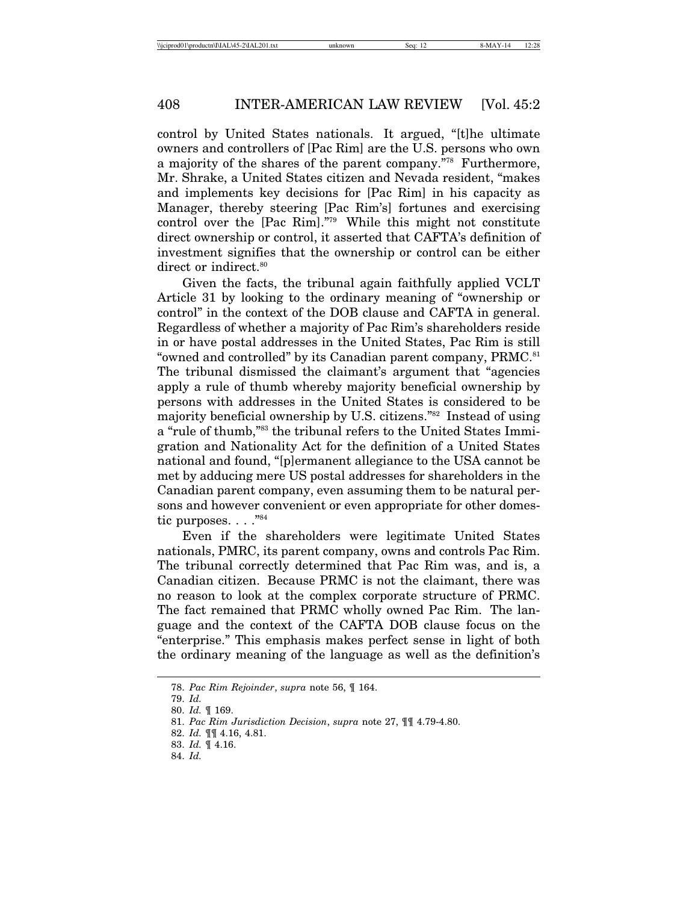control by United States nationals. It argued, "[t]he ultimate owners and controllers of [Pac Rim] are the U.S. persons who own a majority of the shares of the parent company."78 Furthermore, Mr. Shrake, a United States citizen and Nevada resident, "makes and implements key decisions for [Pac Rim] in his capacity as Manager, thereby steering [Pac Rim's] fortunes and exercising control over the [Pac Rim]."79 While this might not constitute direct ownership or control, it asserted that CAFTA's definition of investment signifies that the ownership or control can be either direct or indirect.<sup>80</sup>

Given the facts, the tribunal again faithfully applied VCLT Article 31 by looking to the ordinary meaning of "ownership or control" in the context of the DOB clause and CAFTA in general. Regardless of whether a majority of Pac Rim's shareholders reside in or have postal addresses in the United States, Pac Rim is still "owned and controlled" by its Canadian parent company, PRMC.<sup>81</sup> The tribunal dismissed the claimant's argument that "agencies apply a rule of thumb whereby majority beneficial ownership by persons with addresses in the United States is considered to be majority beneficial ownership by U.S. citizens."82 Instead of using a "rule of thumb,"83 the tribunal refers to the United States Immigration and Nationality Act for the definition of a United States national and found, "[p]ermanent allegiance to the USA cannot be met by adducing mere US postal addresses for shareholders in the Canadian parent company, even assuming them to be natural persons and however convenient or even appropriate for other domestic purposes. . . . "84

Even if the shareholders were legitimate United States nationals, PMRC, its parent company, owns and controls Pac Rim. The tribunal correctly determined that Pac Rim was, and is, a Canadian citizen. Because PRMC is not the claimant, there was no reason to look at the complex corporate structure of PRMC. The fact remained that PRMC wholly owned Pac Rim. The language and the context of the CAFTA DOB clause focus on the "enterprise." This emphasis makes perfect sense in light of both the ordinary meaning of the language as well as the definition's

<sup>78.</sup> *Pac Rim Rejoinder*, *supra* note 56, ¶ 164.

<sup>79.</sup> *Id.*

<sup>80.</sup> *Id.* ¶ 169.

<sup>81.</sup> *Pac Rim Jurisdiction Decision*, *supra* note 27, ¶¶ 4.79-4.80.

<sup>82.</sup> *Id.* ¶¶ 4.16, 4.81.

<sup>83.</sup> *Id.* ¶ 4.16.

<sup>84.</sup> *Id.*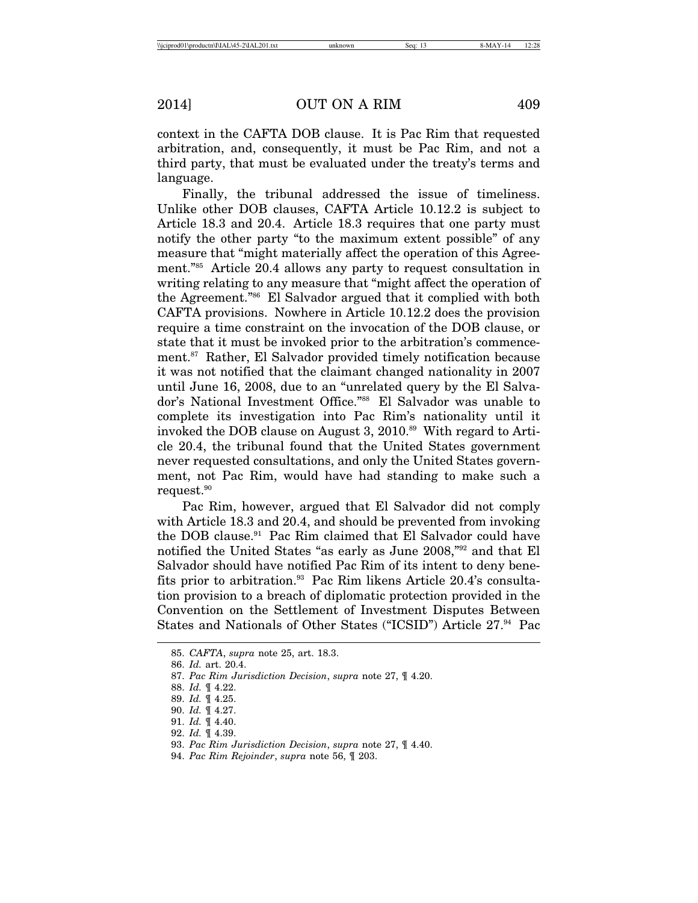context in the CAFTA DOB clause. It is Pac Rim that requested arbitration, and, consequently, it must be Pac Rim, and not a third party, that must be evaluated under the treaty's terms and language.

Finally, the tribunal addressed the issue of timeliness. Unlike other DOB clauses, CAFTA Article 10.12.2 is subject to Article 18.3 and 20.4. Article 18.3 requires that one party must notify the other party "to the maximum extent possible" of any measure that "might materially affect the operation of this Agreement."85 Article 20.4 allows any party to request consultation in writing relating to any measure that "might affect the operation of the Agreement."86 El Salvador argued that it complied with both CAFTA provisions. Nowhere in Article 10.12.2 does the provision require a time constraint on the invocation of the DOB clause, or state that it must be invoked prior to the arbitration's commencement.87 Rather, El Salvador provided timely notification because it was not notified that the claimant changed nationality in 2007 until June 16, 2008, due to an "unrelated query by the El Salvador's National Investment Office."88 El Salvador was unable to complete its investigation into Pac Rim's nationality until it invoked the DOB clause on August 3, 2010.<sup>89</sup> With regard to Article 20.4, the tribunal found that the United States government never requested consultations, and only the United States government, not Pac Rim, would have had standing to make such a request.90

Pac Rim, however, argued that El Salvador did not comply with Article 18.3 and 20.4, and should be prevented from invoking the DOB clause.91 Pac Rim claimed that El Salvador could have notified the United States "as early as June 2008,"92 and that El Salvador should have notified Pac Rim of its intent to deny benefits prior to arbitration.<sup>93</sup> Pac Rim likens Article 20.4's consultation provision to a breach of diplomatic protection provided in the Convention on the Settlement of Investment Disputes Between States and Nationals of Other States ("ICSID") Article 27.<sup>94</sup> Pac

<sup>85.</sup> *CAFTA*, *supra* note 25, art. 18.3.

<sup>86.</sup> *Id.* art. 20.4.

<sup>87.</sup> *Pac Rim Jurisdiction Decision*, *supra* note 27, ¶ 4.20.

<sup>88.</sup> *Id.* ¶ 4.22.

<sup>89.</sup> *Id.* ¶ 4.25.

<sup>90.</sup> *Id.* ¶ 4.27.

<sup>91.</sup> *Id.* ¶ 4.40.

<sup>92.</sup> *Id.* ¶ 4.39.

<sup>93.</sup> *Pac Rim Jurisdiction Decision*, *supra* note 27, ¶ 4.40.

<sup>94.</sup> *Pac Rim Rejoinder*, *supra* note 56, ¶ 203.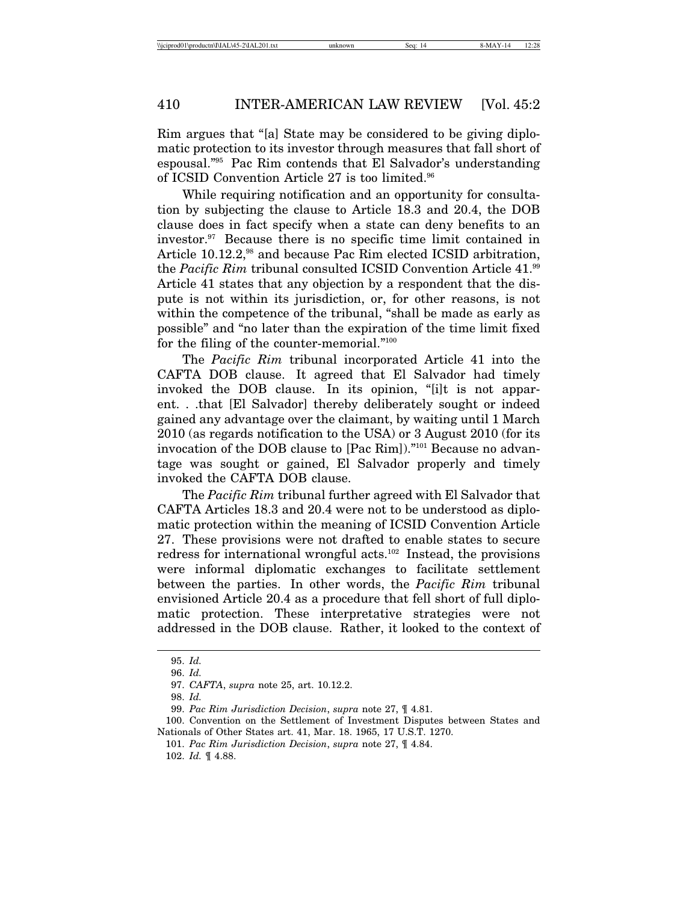Rim argues that "[a] State may be considered to be giving diplomatic protection to its investor through measures that fall short of espousal."95 Pac Rim contends that El Salvador's understanding of ICSID Convention Article 27 is too limited.96

While requiring notification and an opportunity for consultation by subjecting the clause to Article 18.3 and 20.4, the DOB clause does in fact specify when a state can deny benefits to an investor.97 Because there is no specific time limit contained in Article 10.12.2,<sup>98</sup> and because Pac Rim elected ICSID arbitration, the *Pacific Rim* tribunal consulted ICSID Convention Article 41.<sup>99</sup> Article 41 states that any objection by a respondent that the dispute is not within its jurisdiction, or, for other reasons, is not within the competence of the tribunal, "shall be made as early as possible" and "no later than the expiration of the time limit fixed for the filing of the counter-memorial."100

The *Pacific Rim* tribunal incorporated Article 41 into the CAFTA DOB clause. It agreed that El Salvador had timely invoked the DOB clause. In its opinion, "[i]t is not apparent. . .that [El Salvador] thereby deliberately sought or indeed gained any advantage over the claimant, by waiting until 1 March 2010 (as regards notification to the USA) or 3 August 2010 (for its invocation of the DOB clause to [Pac Rim])."101 Because no advantage was sought or gained, El Salvador properly and timely invoked the CAFTA DOB clause.

The *Pacific Rim* tribunal further agreed with El Salvador that CAFTA Articles 18.3 and 20.4 were not to be understood as diplomatic protection within the meaning of ICSID Convention Article 27. These provisions were not drafted to enable states to secure redress for international wrongful acts.102 Instead, the provisions were informal diplomatic exchanges to facilitate settlement between the parties. In other words, the *Pacific Rim* tribunal envisioned Article 20.4 as a procedure that fell short of full diplomatic protection. These interpretative strategies were not addressed in the DOB clause. Rather, it looked to the context of

<sup>95.</sup> *Id.*

<sup>96.</sup> *Id.*

<sup>97.</sup> *CAFTA*, *supra* note 25, art. 10.12.2.

<sup>98.</sup> *Id.*

<sup>99.</sup> *Pac Rim Jurisdiction Decision*, *supra* note 27, ¶ 4.81.

<sup>100.</sup> Convention on the Settlement of Investment Disputes between States and Nationals of Other States art. 41, Mar. 18. 1965, 17 U.S.T. 1270.

<sup>101.</sup> *Pac Rim Jurisdiction Decision*, *supra* note 27, ¶ 4.84.

<sup>102.</sup> *Id.* ¶ 4.88.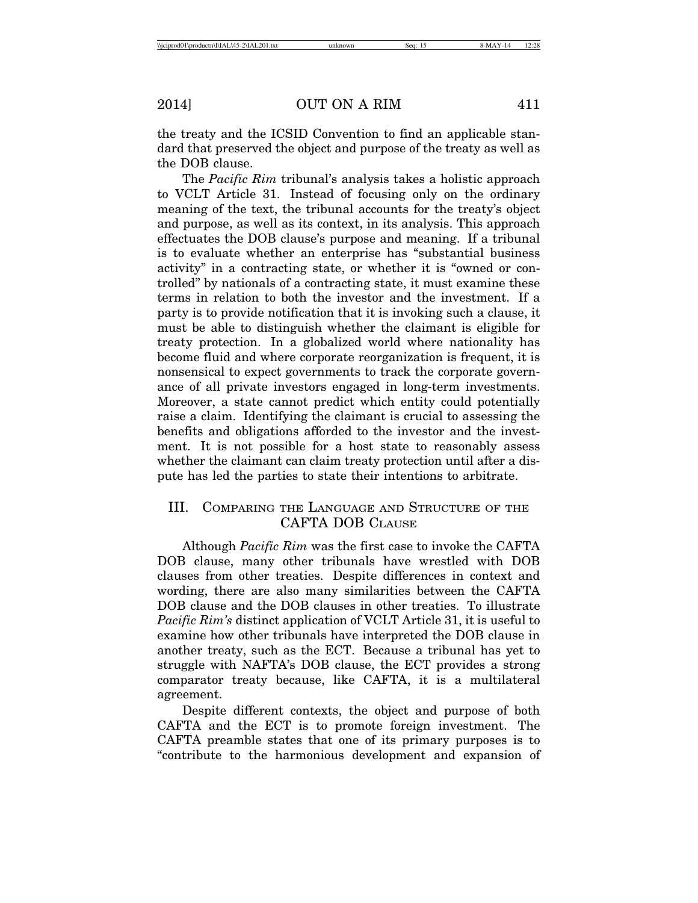the treaty and the ICSID Convention to find an applicable standard that preserved the object and purpose of the treaty as well as the DOB clause.

The *Pacific Rim* tribunal's analysis takes a holistic approach to VCLT Article 31. Instead of focusing only on the ordinary meaning of the text, the tribunal accounts for the treaty's object and purpose, as well as its context, in its analysis. This approach effectuates the DOB clause's purpose and meaning. If a tribunal is to evaluate whether an enterprise has "substantial business activity" in a contracting state, or whether it is "owned or controlled" by nationals of a contracting state, it must examine these terms in relation to both the investor and the investment. If a party is to provide notification that it is invoking such a clause, it must be able to distinguish whether the claimant is eligible for treaty protection. In a globalized world where nationality has become fluid and where corporate reorganization is frequent, it is nonsensical to expect governments to track the corporate governance of all private investors engaged in long-term investments. Moreover, a state cannot predict which entity could potentially raise a claim. Identifying the claimant is crucial to assessing the benefits and obligations afforded to the investor and the investment. It is not possible for a host state to reasonably assess whether the claimant can claim treaty protection until after a dispute has led the parties to state their intentions to arbitrate.

# III. COMPARING THE LANGUAGE AND STRUCTURE OF THE CAFTA DOB CLAUSE

Although *Pacific Rim* was the first case to invoke the CAFTA DOB clause, many other tribunals have wrestled with DOB clauses from other treaties. Despite differences in context and wording, there are also many similarities between the CAFTA DOB clause and the DOB clauses in other treaties. To illustrate *Pacific Rim's* distinct application of VCLT Article 31, it is useful to examine how other tribunals have interpreted the DOB clause in another treaty, such as the ECT. Because a tribunal has yet to struggle with NAFTA's DOB clause, the ECT provides a strong comparator treaty because, like CAFTA, it is a multilateral agreement.

Despite different contexts, the object and purpose of both CAFTA and the ECT is to promote foreign investment. The CAFTA preamble states that one of its primary purposes is to "contribute to the harmonious development and expansion of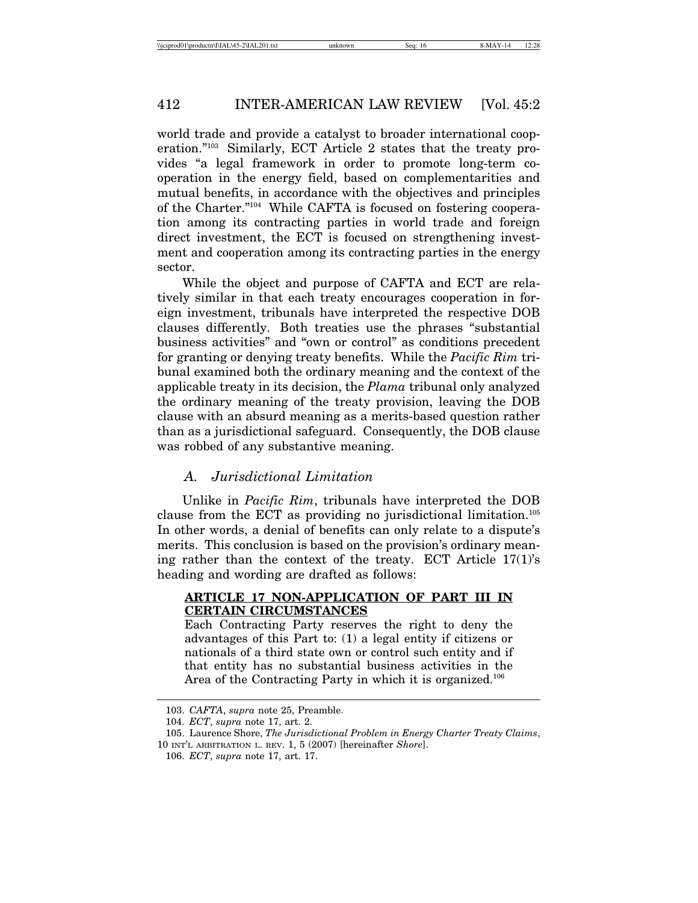world trade and provide a catalyst to broader international cooperation."103 Similarly, ECT Article 2 states that the treaty provides "a legal framework in order to promote long-term cooperation in the energy field, based on complementarities and mutual benefits, in accordance with the objectives and principles of the Charter."104 While CAFTA is focused on fostering cooperation among its contracting parties in world trade and foreign direct investment, the ECT is focused on strengthening investment and cooperation among its contracting parties in the energy sector.

While the object and purpose of CAFTA and ECT are relatively similar in that each treaty encourages cooperation in foreign investment, tribunals have interpreted the respective DOB clauses differently. Both treaties use the phrases "substantial business activities" and "own or control" as conditions precedent for granting or denying treaty benefits. While the *Pacific Rim* tribunal examined both the ordinary meaning and the context of the applicable treaty in its decision, the *Plama* tribunal only analyzed the ordinary meaning of the treaty provision, leaving the DOB clause with an absurd meaning as a merits-based question rather than as a jurisdictional safeguard. Consequently, the DOB clause was robbed of any substantive meaning.

# *A. Jurisdictional Limitation*

Unlike in *Pacific Rim*, tribunals have interpreted the DOB clause from the ECT as providing no jurisdictional limitation.105 In other words, a denial of benefits can only relate to a dispute's merits. This conclusion is based on the provision's ordinary meaning rather than the context of the treaty. ECT Article 17(1)'s heading and wording are drafted as follows:

#### **ARTICLE 17 NON-APPLICATION OF PART III IN CERTAIN CIRCUMSTANCES**

Each Contracting Party reserves the right to deny the advantages of this Part to: (1) a legal entity if citizens or nationals of a third state own or control such entity and if that entity has no substantial business activities in the Area of the Contracting Party in which it is organized.<sup>106</sup>

<sup>103.</sup> *CAFTA*, *supra* note 25, Preamble.

<sup>104.</sup> *ECT*, *supra* note 17, art. 2.

<sup>105.</sup> Laurence Shore, *The Jurisdictional Problem in Energy Charter Treaty Claims*, 10 INT'L ARBITRATION L. REV. 1, 5 (2007) [hereinafter *Shore*].

<sup>106.</sup> *ECT*, *supra* note 17, art. 17.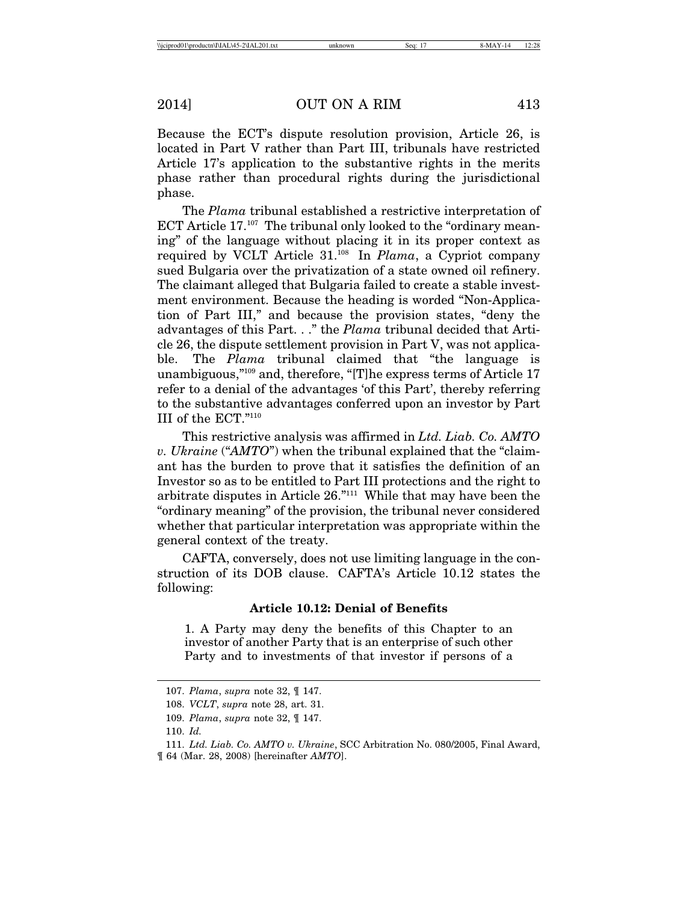Because the ECT's dispute resolution provision, Article 26, is located in Part V rather than Part III, tribunals have restricted Article 17's application to the substantive rights in the merits phase rather than procedural rights during the jurisdictional phase.

The *Plama* tribunal established a restrictive interpretation of ECT Article 17.<sup>107</sup> The tribunal only looked to the "ordinary meaning" of the language without placing it in its proper context as required by VCLT Article 31.108 In *Plama*, a Cypriot company sued Bulgaria over the privatization of a state owned oil refinery. The claimant alleged that Bulgaria failed to create a stable investment environment. Because the heading is worded "Non-Application of Part III," and because the provision states, "deny the advantages of this Part. . ." the *Plama* tribunal decided that Article 26, the dispute settlement provision in Part V, was not applicable. The *Plama* tribunal claimed that "the language is unambiguous,"109 and, therefore, "[T]he express terms of Article 17 refer to a denial of the advantages 'of this Part', thereby referring to the substantive advantages conferred upon an investor by Part III of the ECT."110

This restrictive analysis was affirmed in *Ltd. Liab. Co. AMTO v. Ukraine* ("*AMTO*") when the tribunal explained that the "claimant has the burden to prove that it satisfies the definition of an Investor so as to be entitled to Part III protections and the right to arbitrate disputes in Article 26."111 While that may have been the "ordinary meaning" of the provision, the tribunal never considered whether that particular interpretation was appropriate within the general context of the treaty.

CAFTA, conversely, does not use limiting language in the construction of its DOB clause. CAFTA's Article 10.12 states the following:

#### **Article 10.12: Denial of Benefits**

1. A Party may deny the benefits of this Chapter to an investor of another Party that is an enterprise of such other Party and to investments of that investor if persons of a

<sup>107.</sup> *Plama*, *supra* note 32, ¶ 147.

<sup>108.</sup> *VCLT*, *supra* note 28, art. 31.

<sup>109.</sup> *Plama*, *supra* note 32, ¶ 147.

<sup>110.</sup> *Id.*

<sup>111.</sup> *Ltd. Liab. Co. AMTO v. Ukraine*, SCC Arbitration No. 080/2005, Final Award, ¶ 64 (Mar. 28, 2008) [hereinafter *AMTO*].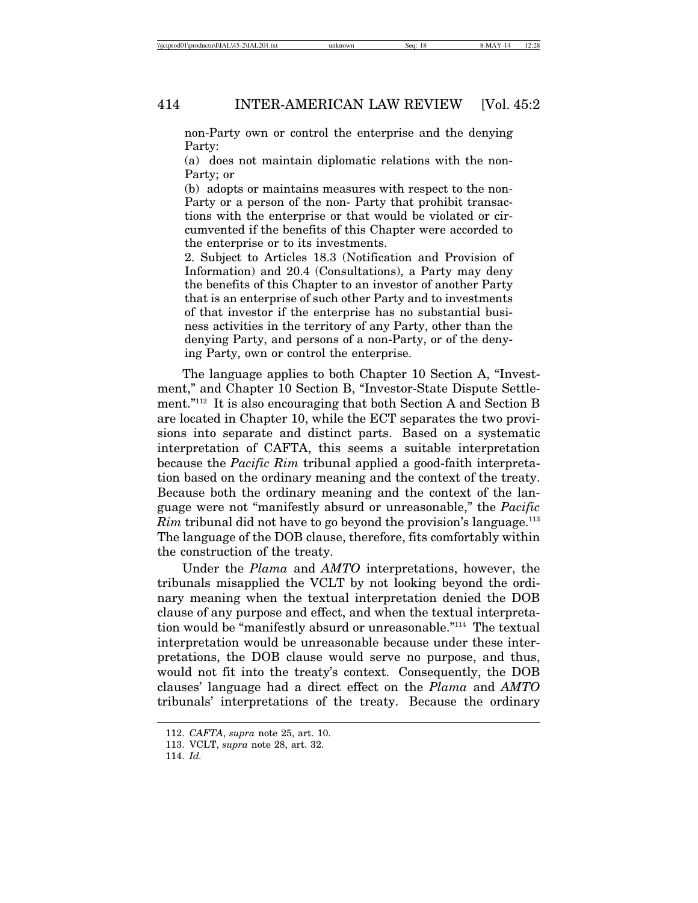non-Party own or control the enterprise and the denying Party:

(a) does not maintain diplomatic relations with the non-Party; or

(b) adopts or maintains measures with respect to the non-Party or a person of the non- Party that prohibit transactions with the enterprise or that would be violated or circumvented if the benefits of this Chapter were accorded to the enterprise or to its investments.

2. Subject to Articles 18.3 (Notification and Provision of Information) and 20.4 (Consultations), a Party may deny the benefits of this Chapter to an investor of another Party that is an enterprise of such other Party and to investments of that investor if the enterprise has no substantial business activities in the territory of any Party, other than the denying Party, and persons of a non-Party, or of the denying Party, own or control the enterprise.

The language applies to both Chapter 10 Section A, "Investment," and Chapter 10 Section B, "Investor-State Dispute Settlement."112 It is also encouraging that both Section A and Section B are located in Chapter 10, while the ECT separates the two provisions into separate and distinct parts. Based on a systematic interpretation of CAFTA, this seems a suitable interpretation because the *Pacific Rim* tribunal applied a good-faith interpretation based on the ordinary meaning and the context of the treaty. Because both the ordinary meaning and the context of the language were not "manifestly absurd or unreasonable," the *Pacific Rim* tribunal did not have to go beyond the provision's language.<sup>113</sup> The language of the DOB clause, therefore, fits comfortably within the construction of the treaty.

Under the *Plama* and *AMTO* interpretations, however, the tribunals misapplied the VCLT by not looking beyond the ordinary meaning when the textual interpretation denied the DOB clause of any purpose and effect, and when the textual interpretation would be "manifestly absurd or unreasonable."114 The textual interpretation would be unreasonable because under these interpretations, the DOB clause would serve no purpose, and thus, would not fit into the treaty's context. Consequently, the DOB clauses' language had a direct effect on the *Plama* and *AMTO* tribunals' interpretations of the treaty. Because the ordinary

<sup>112.</sup> *CAFTA*, *supra* note 25, art. 10.

<sup>113.</sup> VCLT, *supra* note 28, art. 32.

<sup>114.</sup> *Id.*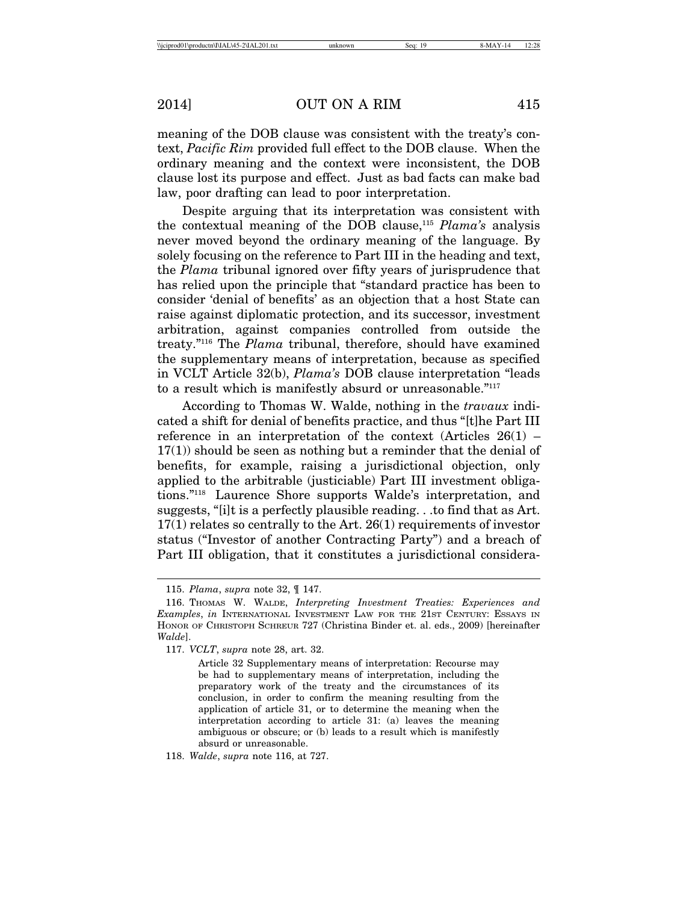meaning of the DOB clause was consistent with the treaty's context, *Pacific Rim* provided full effect to the DOB clause. When the ordinary meaning and the context were inconsistent, the DOB clause lost its purpose and effect. Just as bad facts can make bad law, poor drafting can lead to poor interpretation.

Despite arguing that its interpretation was consistent with the contextual meaning of the DOB clause,115 *Plama's* analysis never moved beyond the ordinary meaning of the language. By solely focusing on the reference to Part III in the heading and text, the *Plama* tribunal ignored over fifty years of jurisprudence that has relied upon the principle that "standard practice has been to consider 'denial of benefits' as an objection that a host State can raise against diplomatic protection, and its successor, investment arbitration, against companies controlled from outside the treaty."116 The *Plama* tribunal, therefore, should have examined the supplementary means of interpretation, because as specified in VCLT Article 32(b), *Plama's* DOB clause interpretation "leads to a result which is manifestly absurd or unreasonable."117

According to Thomas W. Walde, nothing in the *travaux* indicated a shift for denial of benefits practice, and thus "[t]he Part III reference in an interpretation of the context (Articles  $26(1)$  – 17(1)) should be seen as nothing but a reminder that the denial of benefits, for example, raising a jurisdictional objection, only applied to the arbitrable (justiciable) Part III investment obligations."118 Laurence Shore supports Walde's interpretation, and suggests, "[i]t is a perfectly plausible reading. . .to find that as Art. 17(1) relates so centrally to the Art. 26(1) requirements of investor status ("Investor of another Contracting Party") and a breach of Part III obligation, that it constitutes a jurisdictional considera-

<sup>115.</sup> *Plama*, *supra* note 32, ¶ 147.

<sup>116.</sup> THOMAS W. WALDE, *Interpreting Investment Treaties: Experiences and Examples*, *in* INTERNATIONAL INVESTMENT LAW FOR THE 21ST CENTURY: ESSAYS IN HONOR OF CHRISTOPH SCHREUR 727 (Christina Binder et. al. eds., 2009) [hereinafter *Walde*].

<sup>117.</sup> *VCLT*, *supra* note 28, art. 32.

Article 32 Supplementary means of interpretation: Recourse may be had to supplementary means of interpretation, including the preparatory work of the treaty and the circumstances of its conclusion, in order to confirm the meaning resulting from the application of article 31, or to determine the meaning when the interpretation according to article 31: (a) leaves the meaning ambiguous or obscure; or (b) leads to a result which is manifestly absurd or unreasonable.

<sup>118.</sup> *Walde*, *supra* note 116, at 727.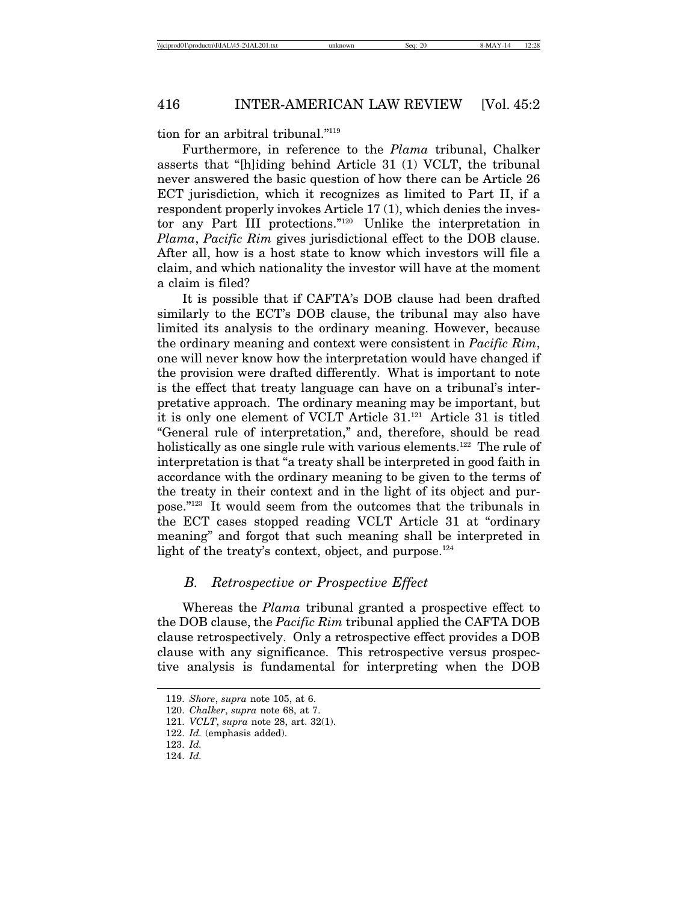tion for an arbitral tribunal."119

Furthermore, in reference to the *Plama* tribunal, Chalker asserts that "[h]iding behind Article 31 (1) VCLT, the tribunal never answered the basic question of how there can be Article 26 ECT jurisdiction, which it recognizes as limited to Part II, if a respondent properly invokes Article 17 (1), which denies the investor any Part III protections."120 Unlike the interpretation in *Plama*, *Pacific Rim* gives jurisdictional effect to the DOB clause. After all, how is a host state to know which investors will file a claim, and which nationality the investor will have at the moment a claim is filed?

It is possible that if CAFTA's DOB clause had been drafted similarly to the ECT's DOB clause, the tribunal may also have limited its analysis to the ordinary meaning. However, because the ordinary meaning and context were consistent in *Pacific Rim*, one will never know how the interpretation would have changed if the provision were drafted differently. What is important to note is the effect that treaty language can have on a tribunal's interpretative approach. The ordinary meaning may be important, but it is only one element of VCLT Article 31.121 Article 31 is titled "General rule of interpretation," and, therefore, should be read holistically as one single rule with various elements.<sup>122</sup> The rule of interpretation is that "a treaty shall be interpreted in good faith in accordance with the ordinary meaning to be given to the terms of the treaty in their context and in the light of its object and purpose."123 It would seem from the outcomes that the tribunals in the ECT cases stopped reading VCLT Article 31 at "ordinary meaning" and forgot that such meaning shall be interpreted in light of the treaty's context, object, and purpose. $124$ 

# *B. Retrospective or Prospective Effect*

Whereas the *Plama* tribunal granted a prospective effect to the DOB clause, the *Pacific Rim* tribunal applied the CAFTA DOB clause retrospectively. Only a retrospective effect provides a DOB clause with any significance. This retrospective versus prospective analysis is fundamental for interpreting when the DOB

<sup>119.</sup> *Shore*, *supra* note 105, at 6.

<sup>120.</sup> *Chalker*, *supra* note 68, at 7.

<sup>121.</sup> *VCLT*, *supra* note 28, art. 32(1).

<sup>122.</sup> *Id.* (emphasis added).

<sup>123.</sup> *Id.*

<sup>124.</sup> *Id.*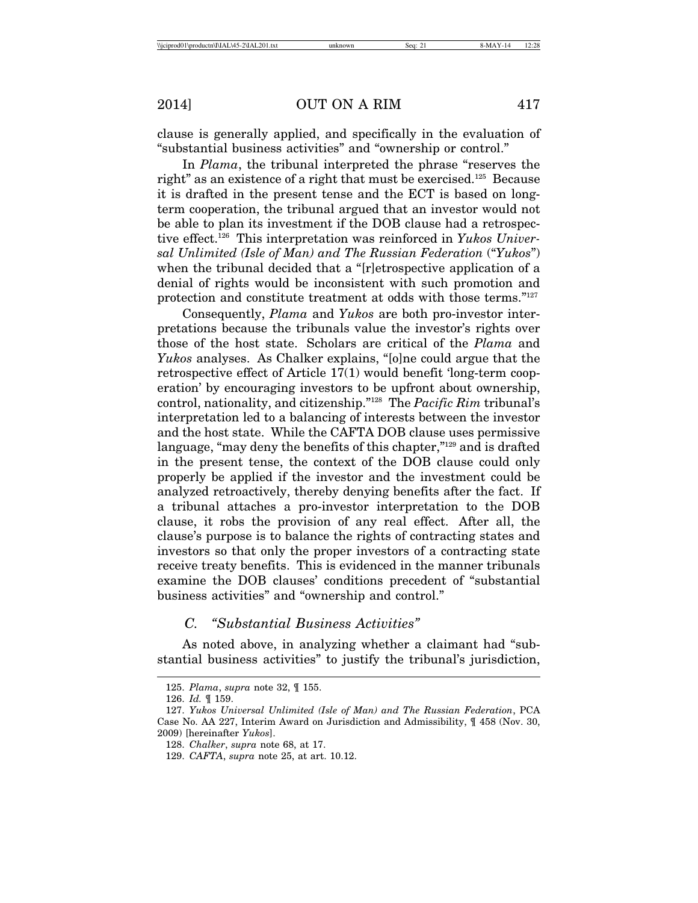clause is generally applied, and specifically in the evaluation of "substantial business activities" and "ownership or control."

In *Plama*, the tribunal interpreted the phrase "reserves the right" as an existence of a right that must be exercised.125 Because it is drafted in the present tense and the ECT is based on longterm cooperation, the tribunal argued that an investor would not be able to plan its investment if the DOB clause had a retrospective effect.126 This interpretation was reinforced in *Yukos Universal Unlimited (Isle of Man) and The Russian Federation* ("*Yukos*") when the tribunal decided that a "[r]etrospective application of a denial of rights would be inconsistent with such promotion and protection and constitute treatment at odds with those terms."127

Consequently, *Plama* and *Yukos* are both pro-investor interpretations because the tribunals value the investor's rights over those of the host state. Scholars are critical of the *Plama* and *Yukos* analyses. As Chalker explains, "[o]ne could argue that the retrospective effect of Article 17(1) would benefit 'long-term cooperation' by encouraging investors to be upfront about ownership, control, nationality, and citizenship."128 The *Pacific Rim* tribunal's interpretation led to a balancing of interests between the investor and the host state. While the CAFTA DOB clause uses permissive language, "may deny the benefits of this chapter,"<sup>129</sup> and is drafted in the present tense, the context of the DOB clause could only properly be applied if the investor and the investment could be analyzed retroactively, thereby denying benefits after the fact. If a tribunal attaches a pro-investor interpretation to the DOB clause, it robs the provision of any real effect. After all, the clause's purpose is to balance the rights of contracting states and investors so that only the proper investors of a contracting state receive treaty benefits. This is evidenced in the manner tribunals examine the DOB clauses' conditions precedent of "substantial business activities" and "ownership and control."

# *C. "Substantial Business Activities"*

As noted above, in analyzing whether a claimant had "substantial business activities" to justify the tribunal's jurisdiction,

<sup>125.</sup> *Plama*, *supra* note 32, ¶ 155.

<sup>126.</sup> *Id.* ¶ 159.

<sup>127.</sup> *Yukos Universal Unlimited (Isle of Man) and The Russian Federation*, PCA Case No. AA 227, Interim Award on Jurisdiction and Admissibility, ¶ 458 (Nov. 30, 2009) [hereinafter *Yukos*].

<sup>128.</sup> *Chalker*, *supra* note 68, at 17.

<sup>129.</sup> *CAFTA*, *supra* note 25, at art. 10.12.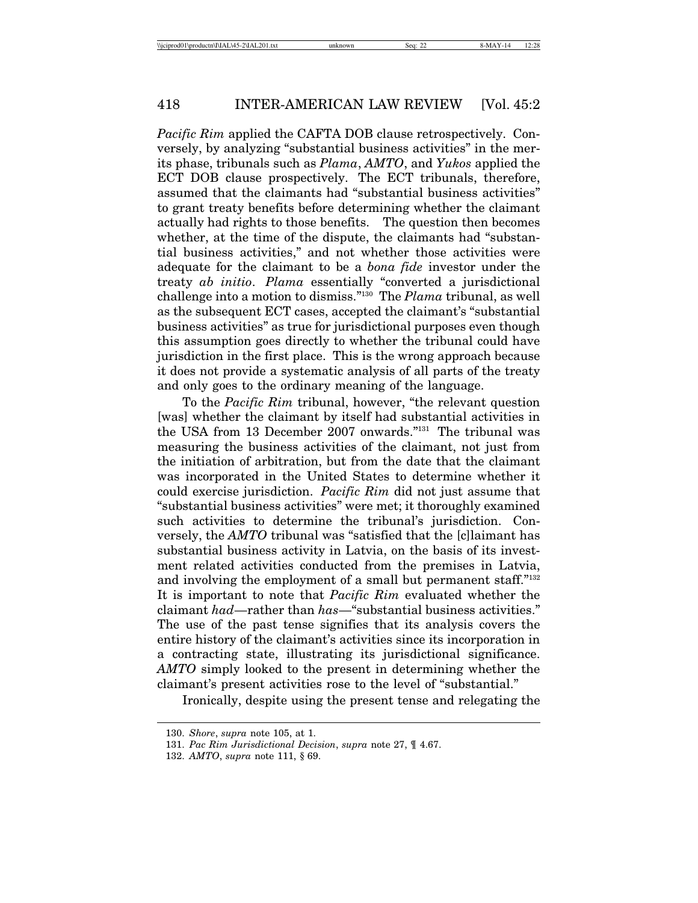*Pacific Rim* applied the CAFTA DOB clause retrospectively. Conversely, by analyzing "substantial business activities" in the merits phase, tribunals such as *Plama*, *AMTO*, and *Yukos* applied the ECT DOB clause prospectively. The ECT tribunals, therefore, assumed that the claimants had "substantial business activities" to grant treaty benefits before determining whether the claimant actually had rights to those benefits. The question then becomes whether, at the time of the dispute, the claimants had "substantial business activities," and not whether those activities were adequate for the claimant to be a *bona fide* investor under the treaty *ab initio*. *Plama* essentially "converted a jurisdictional challenge into a motion to dismiss."130 The *Plama* tribunal, as well as the subsequent ECT cases, accepted the claimant's "substantial business activities" as true for jurisdictional purposes even though this assumption goes directly to whether the tribunal could have jurisdiction in the first place. This is the wrong approach because it does not provide a systematic analysis of all parts of the treaty and only goes to the ordinary meaning of the language.

To the *Pacific Rim* tribunal, however, "the relevant question [was] whether the claimant by itself had substantial activities in the USA from 13 December 2007 onwards."131 The tribunal was measuring the business activities of the claimant, not just from the initiation of arbitration, but from the date that the claimant was incorporated in the United States to determine whether it could exercise jurisdiction. *Pacific Rim* did not just assume that "substantial business activities" were met; it thoroughly examined such activities to determine the tribunal's jurisdiction. Conversely, the *AMTO* tribunal was "satisfied that the [c]laimant has substantial business activity in Latvia, on the basis of its investment related activities conducted from the premises in Latvia, and involving the employment of a small but permanent staff."132 It is important to note that *Pacific Rim* evaluated whether the claimant *had*—rather than *has*—"substantial business activities." The use of the past tense signifies that its analysis covers the entire history of the claimant's activities since its incorporation in a contracting state, illustrating its jurisdictional significance. *AMTO* simply looked to the present in determining whether the claimant's present activities rose to the level of "substantial."

Ironically, despite using the present tense and relegating the

<sup>130.</sup> *Shore*, *supra* note 105, at 1.

<sup>131.</sup> *Pac Rim Jurisdictional Decision*, *supra* note 27, ¶ 4.67.

<sup>132.</sup> *AMTO*, *supra* note 111, § 69.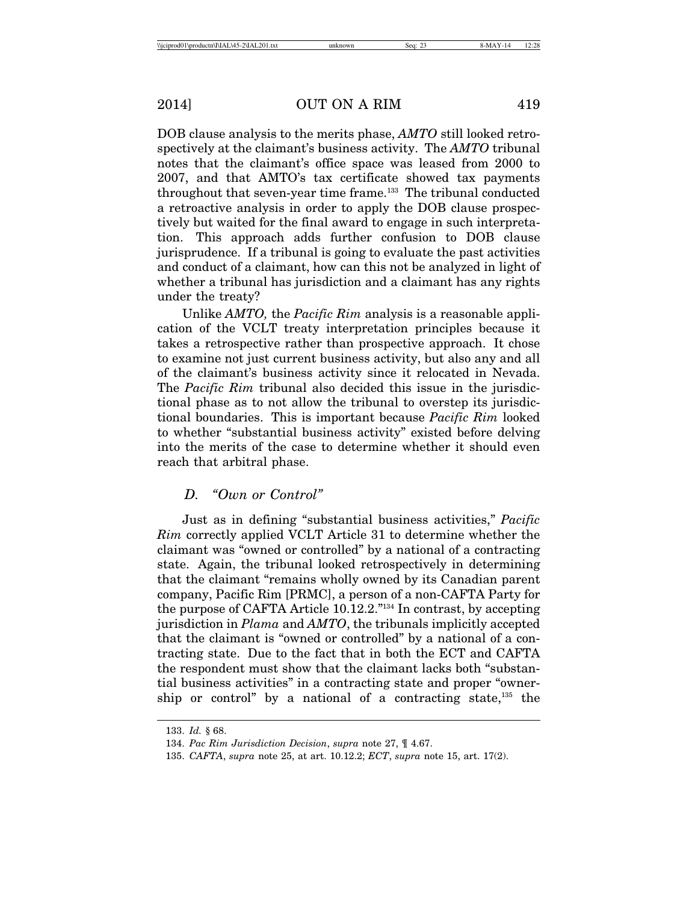DOB clause analysis to the merits phase, *AMTO* still looked retrospectively at the claimant's business activity. The *AMTO* tribunal notes that the claimant's office space was leased from 2000 to 2007, and that AMTO's tax certificate showed tax payments throughout that seven-year time frame.133 The tribunal conducted a retroactive analysis in order to apply the DOB clause prospectively but waited for the final award to engage in such interpretation. This approach adds further confusion to DOB clause jurisprudence. If a tribunal is going to evaluate the past activities and conduct of a claimant, how can this not be analyzed in light of whether a tribunal has jurisdiction and a claimant has any rights under the treaty?

Unlike *AMTO,* the *Pacific Rim* analysis is a reasonable application of the VCLT treaty interpretation principles because it takes a retrospective rather than prospective approach. It chose to examine not just current business activity, but also any and all of the claimant's business activity since it relocated in Nevada. The *Pacific Rim* tribunal also decided this issue in the jurisdictional phase as to not allow the tribunal to overstep its jurisdictional boundaries. This is important because *Pacific Rim* looked to whether "substantial business activity" existed before delving into the merits of the case to determine whether it should even reach that arbitral phase.

# *D. "Own or Control"*

Just as in defining "substantial business activities," *Pacific Rim* correctly applied VCLT Article 31 to determine whether the claimant was "owned or controlled" by a national of a contracting state. Again, the tribunal looked retrospectively in determining that the claimant "remains wholly owned by its Canadian parent company, Pacific Rim [PRMC], a person of a non-CAFTA Party for the purpose of CAFTA Article 10.12.2."134 In contrast, by accepting jurisdiction in *Plama* and *AMTO*, the tribunals implicitly accepted that the claimant is "owned or controlled" by a national of a contracting state. Due to the fact that in both the ECT and CAFTA the respondent must show that the claimant lacks both "substantial business activities" in a contracting state and proper "ownership or control" by a national of a contracting state, $135$  the

<sup>133.</sup> *Id.* § 68.

<sup>134.</sup> *Pac Rim Jurisdiction Decision*, *supra* note 27, ¶ 4.67.

<sup>135.</sup> *CAFTA*, *supra* note 25, at art. 10.12.2; *ECT*, *supra* note 15, art. 17(2).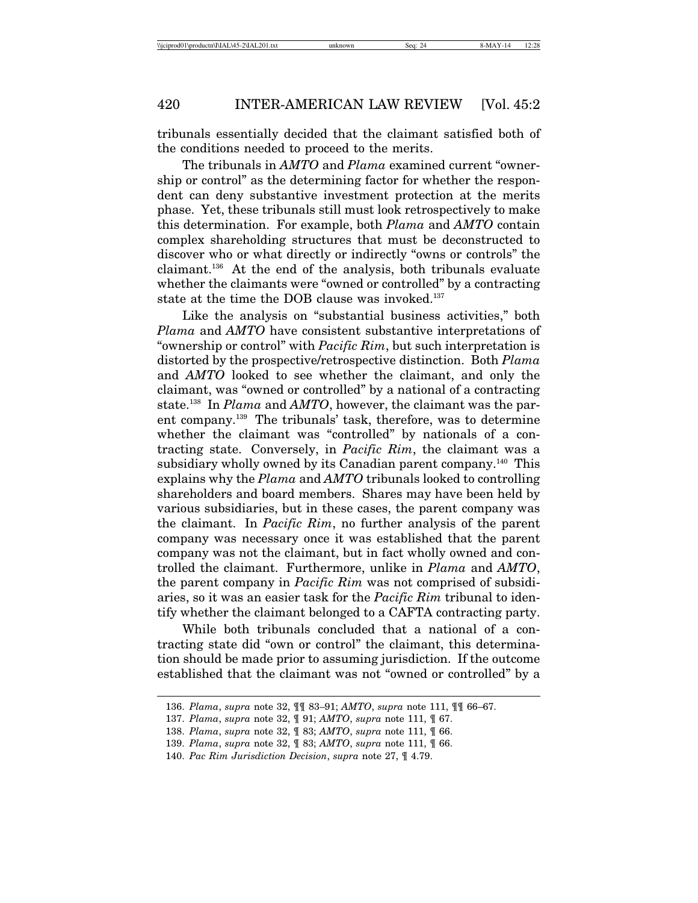tribunals essentially decided that the claimant satisfied both of the conditions needed to proceed to the merits.

The tribunals in *AMTO* and *Plama* examined current "ownership or control" as the determining factor for whether the respondent can deny substantive investment protection at the merits phase. Yet, these tribunals still must look retrospectively to make this determination. For example, both *Plama* and *AMTO* contain complex shareholding structures that must be deconstructed to discover who or what directly or indirectly "owns or controls" the claimant.136 At the end of the analysis, both tribunals evaluate whether the claimants were "owned or controlled" by a contracting state at the time the DOB clause was invoked.<sup>137</sup>

Like the analysis on "substantial business activities," both *Plama* and *AMTO* have consistent substantive interpretations of "ownership or control" with *Pacific Rim*, but such interpretation is distorted by the prospective/retrospective distinction. Both *Plama* and *AMTO* looked to see whether the claimant, and only the claimant, was "owned or controlled" by a national of a contracting state.138 In *Plama* and *AMTO*, however, the claimant was the parent company.139 The tribunals' task, therefore, was to determine whether the claimant was "controlled" by nationals of a contracting state. Conversely, in *Pacific Rim*, the claimant was a subsidiary wholly owned by its Canadian parent company.<sup>140</sup> This explains why the *Plama* and *AMTO* tribunals looked to controlling shareholders and board members. Shares may have been held by various subsidiaries, but in these cases, the parent company was the claimant. In *Pacific Rim*, no further analysis of the parent company was necessary once it was established that the parent company was not the claimant, but in fact wholly owned and controlled the claimant. Furthermore, unlike in *Plama* and *AMTO*, the parent company in *Pacific Rim* was not comprised of subsidiaries, so it was an easier task for the *Pacific Rim* tribunal to identify whether the claimant belonged to a CAFTA contracting party.

While both tribunals concluded that a national of a contracting state did "own or control" the claimant, this determination should be made prior to assuming jurisdiction. If the outcome established that the claimant was not "owned or controlled" by a

<sup>136.</sup> *Plama*, *supra* note 32, ¶¶ 83–91; *AMTO*, *supra* note 111, ¶¶ 66–67.

<sup>137.</sup> *Plama*, *supra* note 32, ¶ 91; *AMTO*, *supra* note 111, ¶ 67.

<sup>138.</sup> *Plama*, *supra* note 32, ¶ 83; *AMTO*, *supra* note 111, ¶ 66.

<sup>139.</sup> *Plama*, *supra* note 32, ¶ 83; *AMTO*, *supra* note 111, ¶ 66.

<sup>140.</sup> *Pac Rim Jurisdiction Decision*, *supra* note 27, ¶ 4.79.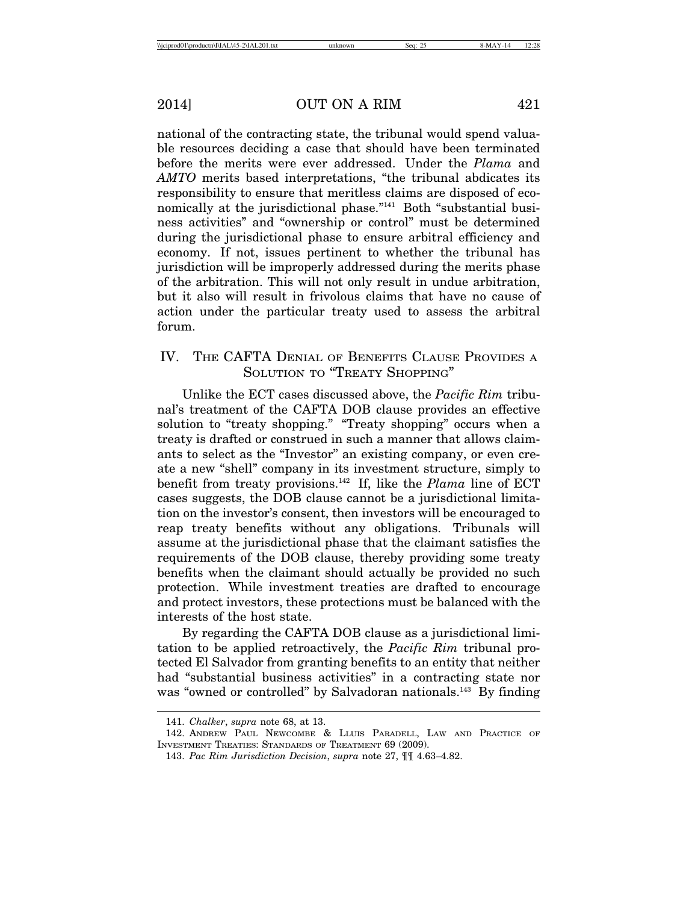national of the contracting state, the tribunal would spend valuable resources deciding a case that should have been terminated before the merits were ever addressed. Under the *Plama* and *AMTO* merits based interpretations, "the tribunal abdicates its responsibility to ensure that meritless claims are disposed of economically at the jurisdictional phase."141 Both "substantial business activities" and "ownership or control" must be determined during the jurisdictional phase to ensure arbitral efficiency and economy. If not, issues pertinent to whether the tribunal has jurisdiction will be improperly addressed during the merits phase of the arbitration. This will not only result in undue arbitration, but it also will result in frivolous claims that have no cause of action under the particular treaty used to assess the arbitral forum.

# IV. THE CAFTA DENIAL OF BENEFITS CLAUSE PROVIDES A SOLUTION TO "TREATY SHOPPING"

Unlike the ECT cases discussed above, the *Pacific Rim* tribunal's treatment of the CAFTA DOB clause provides an effective solution to "treaty shopping." "Treaty shopping" occurs when a treaty is drafted or construed in such a manner that allows claimants to select as the "Investor" an existing company, or even create a new "shell" company in its investment structure, simply to benefit from treaty provisions.142 If, like the *Plama* line of ECT cases suggests, the DOB clause cannot be a jurisdictional limitation on the investor's consent, then investors will be encouraged to reap treaty benefits without any obligations. Tribunals will assume at the jurisdictional phase that the claimant satisfies the requirements of the DOB clause, thereby providing some treaty benefits when the claimant should actually be provided no such protection. While investment treaties are drafted to encourage and protect investors, these protections must be balanced with the interests of the host state.

By regarding the CAFTA DOB clause as a jurisdictional limitation to be applied retroactively, the *Pacific Rim* tribunal protected El Salvador from granting benefits to an entity that neither had "substantial business activities" in a contracting state nor was "owned or controlled" by Salvadoran nationals.<sup>143</sup> By finding

<sup>141.</sup> *Chalker*, *supra* note 68, at 13.

<sup>142.</sup> ANDREW PAUL NEWCOMBE & LLUIS PARADELL, LAW AND PRACTICE OF INVESTMENT TREATIES: STANDARDS OF TREATMENT 69 (2009).

<sup>143.</sup> *Pac Rim Jurisdiction Decision*, *supra* note 27, ¶¶ 4.63–4.82.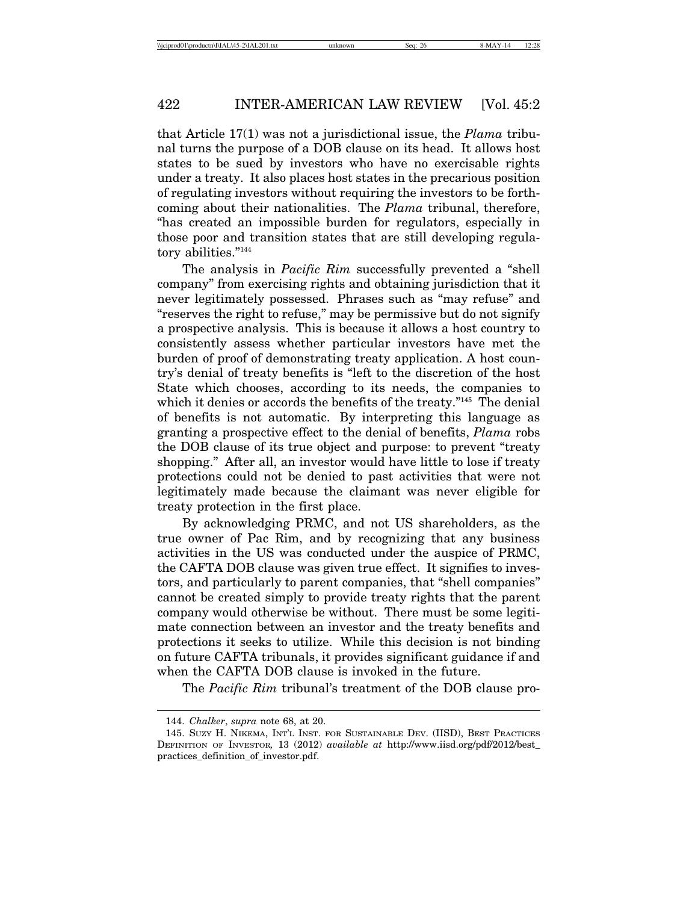that Article 17(1) was not a jurisdictional issue, the *Plama* tribunal turns the purpose of a DOB clause on its head. It allows host states to be sued by investors who have no exercisable rights under a treaty. It also places host states in the precarious position of regulating investors without requiring the investors to be forthcoming about their nationalities. The *Plama* tribunal, therefore, "has created an impossible burden for regulators, especially in those poor and transition states that are still developing regulatory abilities."144

The analysis in *Pacific Rim* successfully prevented a "shell company" from exercising rights and obtaining jurisdiction that it never legitimately possessed. Phrases such as "may refuse" and "reserves the right to refuse," may be permissive but do not signify a prospective analysis. This is because it allows a host country to consistently assess whether particular investors have met the burden of proof of demonstrating treaty application. A host country's denial of treaty benefits is "left to the discretion of the host State which chooses, according to its needs, the companies to which it denies or accords the benefits of the treaty."145 The denial of benefits is not automatic. By interpreting this language as granting a prospective effect to the denial of benefits, *Plama* robs the DOB clause of its true object and purpose: to prevent "treaty shopping." After all, an investor would have little to lose if treaty protections could not be denied to past activities that were not legitimately made because the claimant was never eligible for treaty protection in the first place.

By acknowledging PRMC, and not US shareholders, as the true owner of Pac Rim, and by recognizing that any business activities in the US was conducted under the auspice of PRMC, the CAFTA DOB clause was given true effect. It signifies to investors, and particularly to parent companies, that "shell companies" cannot be created simply to provide treaty rights that the parent company would otherwise be without. There must be some legitimate connection between an investor and the treaty benefits and protections it seeks to utilize. While this decision is not binding on future CAFTA tribunals, it provides significant guidance if and when the CAFTA DOB clause is invoked in the future.

The *Pacific Rim* tribunal's treatment of the DOB clause pro-

<sup>144.</sup> *Chalker*, *supra* note 68, at 20.

<sup>145.</sup> SUZY H. NIKEMA, INT'L INST. FOR SUSTAINABLE DEV. (IISD), BEST PRACTICES DEFINITION OF INVESTOR*,* 13 (2012) *available at* http://www.iisd.org/pdf/2012/best\_ practices\_definition\_of\_investor.pdf.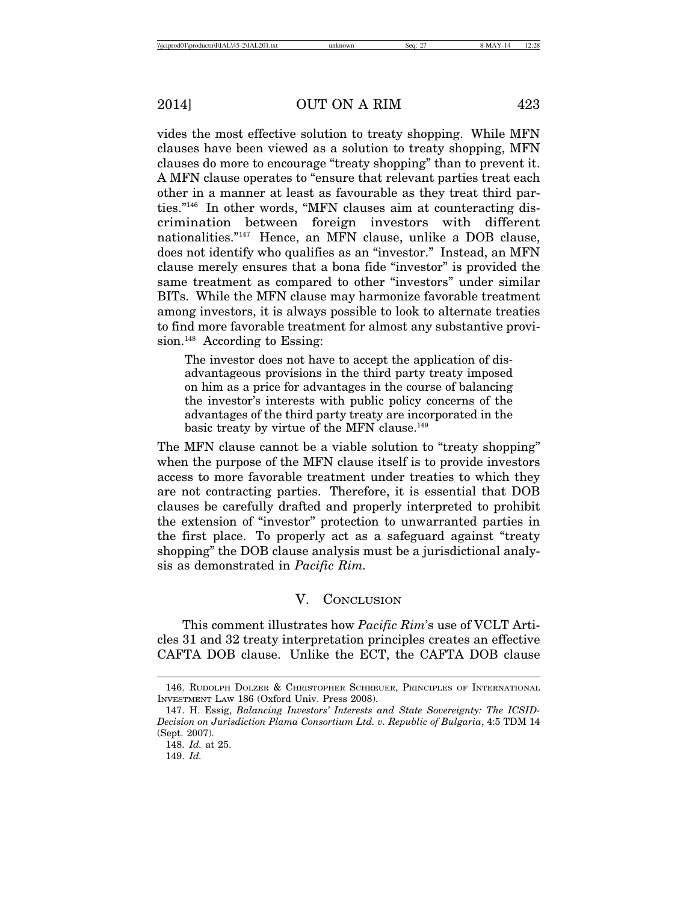vides the most effective solution to treaty shopping. While MFN clauses have been viewed as a solution to treaty shopping, MFN clauses do more to encourage "treaty shopping" than to prevent it. A MFN clause operates to "ensure that relevant parties treat each other in a manner at least as favourable as they treat third parties."146 In other words, "MFN clauses aim at counteracting discrimination between foreign investors with different nationalities."147 Hence, an MFN clause, unlike a DOB clause, does not identify who qualifies as an "investor." Instead, an MFN clause merely ensures that a bona fide "investor" is provided the same treatment as compared to other "investors" under similar BITs. While the MFN clause may harmonize favorable treatment among investors, it is always possible to look to alternate treaties to find more favorable treatment for almost any substantive provision.<sup>148</sup> According to Essing:

The investor does not have to accept the application of disadvantageous provisions in the third party treaty imposed on him as a price for advantages in the course of balancing the investor's interests with public policy concerns of the advantages of the third party treaty are incorporated in the basic treaty by virtue of the MFN clause.<sup>149</sup>

The MFN clause cannot be a viable solution to "treaty shopping" when the purpose of the MFN clause itself is to provide investors access to more favorable treatment under treaties to which they are not contracting parties. Therefore, it is essential that DOB clauses be carefully drafted and properly interpreted to prohibit the extension of "investor" protection to unwarranted parties in the first place. To properly act as a safeguard against "treaty shopping" the DOB clause analysis must be a jurisdictional analysis as demonstrated in *Pacific Rim.*

### V. CONCLUSION

This comment illustrates how *Pacific Rim*'s use of VCLT Articles 31 and 32 treaty interpretation principles creates an effective CAFTA DOB clause. Unlike the ECT, the CAFTA DOB clause

<sup>146.</sup> RUDOLPH DOLZER & CHRISTOPHER SCHREUER, PRINCIPLES OF INTERNATIONAL INVESTMENT LAW 186 (Oxford Univ. Press 2008).

<sup>147.</sup> H. Essig, *Balancing Investors' Interests and State Sovereignty: The ICSID-Decision on Jurisdiction Plama Consortium Ltd. v. Republic of Bulgaria*, 4:5 TDM 14 (Sept. 2007).

<sup>148.</sup> *Id.* at 25.

<sup>149.</sup> *Id.*